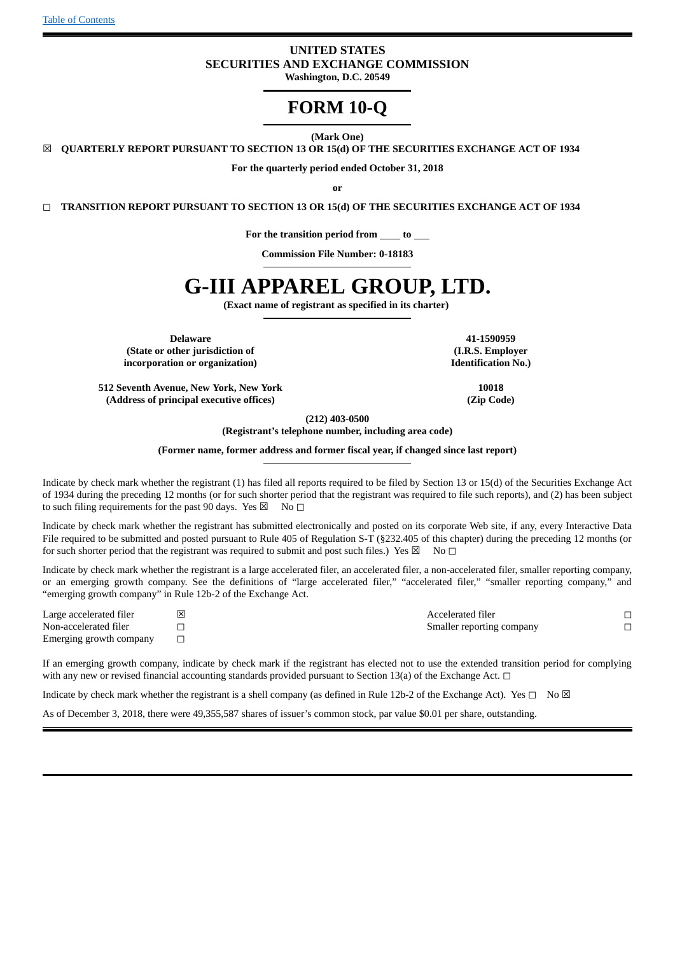# **UNITED STATES SECURITIES AND EXCHANGE COMMISSION Washington, D.C. 20549**

# **FORM 10-Q**

**(Mark One)**

☒ **QUARTERLY REPORT PURSUANT TO SECTION 13 OR 15(d) OF THE SECURITIES EXCHANGE ACT OF 1934**

**For the quarterly period ended October 31, 2018**

**or**

◻ **TRANSITION REPORT PURSUANT TO SECTION 13 OR 15(d) OF THE SECURITIES EXCHANGE ACT OF 1934**

**For the transition period from to**

**Commission File Number: 0-18183**

# **G-III APPAREL GROUP, LTD.**

**(Exact name of registrant as specified in its charter)**

**Delaware 41-1590959 (State or other jurisdiction of (I.R.S. Employer incorporation or organization) Identification No.)**

**512 Seventh Avenue, New York, New York 10018 (Address of principal executive offices) (Zip Code)**

**(212) 403-0500**

**(Registrant's telephone number, including area code)**

**(Former name, former address and former fiscal year, if changed since last report)**

Indicate by check mark whether the registrant (1) has filed all reports required to be filed by Section 13 or 15(d) of the Securities Exchange Act of 1934 during the preceding 12 months (or for such shorter period that the registrant was required to file such reports), and (2) has been subject to such filing requirements for the past 90 days. Yes  $\boxtimes$  No  $\Box$ 

Indicate by check mark whether the registrant has submitted electronically and posted on its corporate Web site, if any, every Interactive Data File required to be submitted and posted pursuant to Rule 405 of Regulation S-T (§232.405 of this chapter) during the preceding 12 months (or for such shorter period that the registrant was required to submit and post such files.) Yes  $\boxtimes$  No  $\Box$ 

Indicate by check mark whether the registrant is a large accelerated filer, an accelerated filer, a non-accelerated filer, smaller reporting company, or an emerging growth company. See the definitions of "large accelerated filer," "accelerated filer," "smaller reporting company," and "emerging growth company" in Rule 12b-2 of the Exchange Act.

Emerging growth company □

Large accelerated filer ☒ Accelerated filer ◻ Non-accelerated filer □ □ Smaller reporting company □

If an emerging growth company, indicate by check mark if the registrant has elected not to use the extended transition period for complying with any new or revised financial accounting standards provided pursuant to Section 13(a) of the Exchange Act.  $\Box$ 

Indicate by check mark whether the registrant is a shell company (as defined in Rule 12b-2 of the Exchange Act). Yes  $\Box$  No  $\boxtimes$ 

As of December 3, 2018, there were 49,355,587 shares of issuer's common stock, par value \$0.01 per share, outstanding.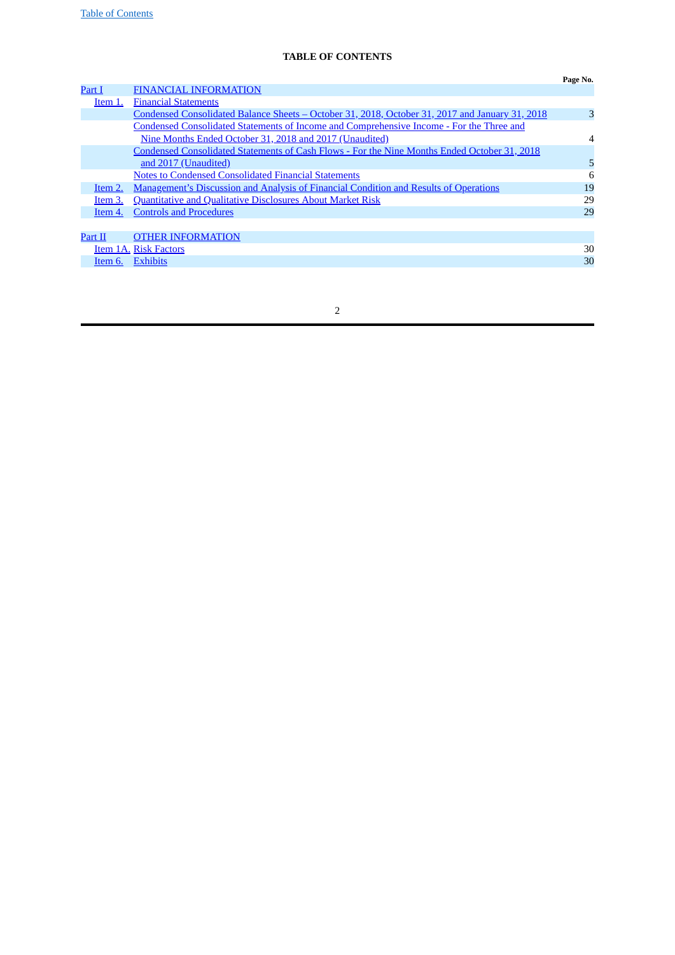# <span id="page-1-0"></span>**TABLE OF CONTENTS**

|         |                                                                                                 | Page No. |
|---------|-------------------------------------------------------------------------------------------------|----------|
| Part I  | <b>FINANCIAL INFORMATION</b>                                                                    |          |
| Item 1. | <b>Financial Statements</b>                                                                     |          |
|         | Condensed Consolidated Balance Sheets – October 31, 2018, October 31, 2017 and January 31, 2018 | 3        |
|         | Condensed Consolidated Statements of Income and Comprehensive Income - For the Three and        |          |
|         | Nine Months Ended October 31, 2018 and 2017 (Unaudited)                                         | 4        |
|         | Condensed Consolidated Statements of Cash Flows - For the Nine Months Ended October 31, 2018    |          |
|         | and 2017 (Unaudited)                                                                            | 5        |
|         | <b>Notes to Condensed Consolidated Financial Statements</b>                                     | 6        |
| Item 2. | <b>Management's Discussion and Analysis of Financial Condition and Results of Operations</b>    | 19       |
| Item 3. | <b>Quantitative and Qualitative Disclosures About Market Risk</b>                               | 29       |
| Item 4. | <b>Controls and Procedures</b>                                                                  | 29       |
|         |                                                                                                 |          |
| Part II | <b>OTHER INFORMATION</b>                                                                        |          |
|         | Item 1A. Risk Factors                                                                           | 30       |
| Item 6. | <b>Exhibits</b>                                                                                 | 30       |

| I<br>I |
|--------|
|        |
|        |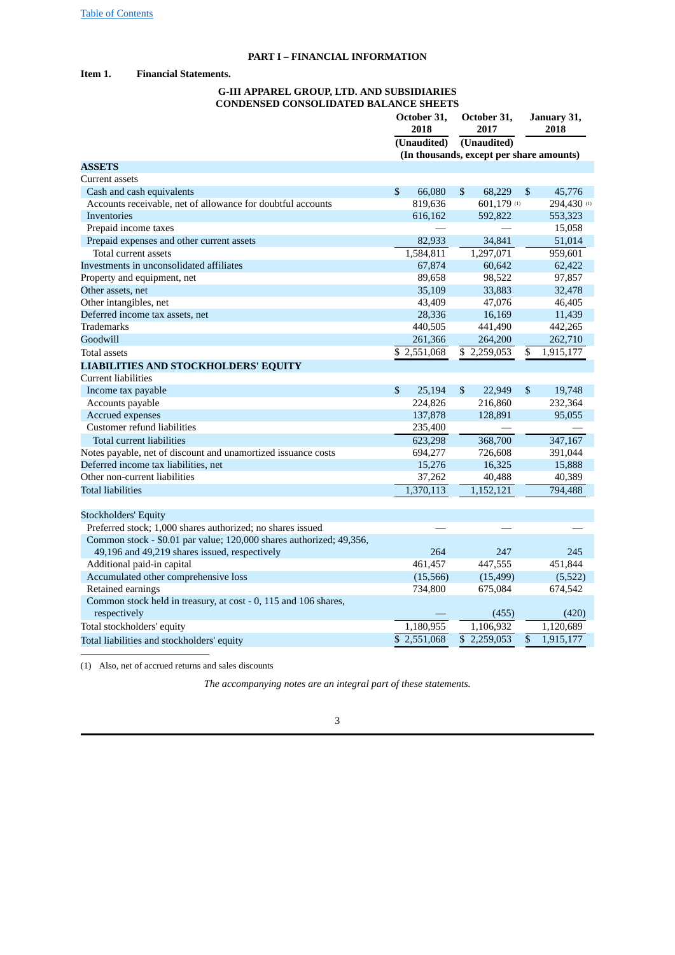# <span id="page-2-2"></span><span id="page-2-1"></span><span id="page-2-0"></span>**PART I – FINANCIAL INFORMATION**

# **Item 1. Financial Statements.**

# **G-III APPAREL GROUP, LTD. AND SUBSIDIARIES CONDENSED CONSOLIDATED BALANCE SHEETS**

|                                                                     | October 31,<br>2018      |                           | October 31,<br>2017                      |                 | January 31,<br>2018 |
|---------------------------------------------------------------------|--------------------------|---------------------------|------------------------------------------|-----------------|---------------------|
|                                                                     | (Unaudited)              |                           | (Unaudited)                              |                 |                     |
|                                                                     |                          |                           | (In thousands, except per share amounts) |                 |                     |
| <b>ASSETS</b>                                                       |                          |                           |                                          |                 |                     |
| Current assets                                                      |                          |                           |                                          |                 |                     |
| Cash and cash equivalents                                           | \$<br>66,080             | $\sqrt{3}$                | 68,229                                   | \$              | 45,776              |
| Accounts receivable, net of allowance for doubtful accounts         | 819,636                  |                           | 601,179 (1)                              |                 | 294,430 (1)         |
| Inventories                                                         | 616,162                  |                           | 592,822                                  |                 | 553,323             |
| Prepaid income taxes                                                |                          |                           |                                          |                 | 15,058              |
| Prepaid expenses and other current assets                           | 82,933                   |                           | 34,841                                   |                 | 51,014              |
| Total current assets                                                | 1,584,811                |                           | 1,297,071                                |                 | 959,601             |
| Investments in unconsolidated affiliates                            | 67,874                   |                           | 60,642                                   |                 | 62,422              |
| Property and equipment, net                                         | 89,658                   |                           | 98,522                                   |                 | 97,857              |
| Other assets, net                                                   | 35,109                   |                           | 33,883                                   |                 | 32,478              |
| Other intangibles, net                                              | 43,409                   |                           | 47,076                                   |                 | 46,405              |
| Deferred income tax assets, net                                     | 28,336                   |                           | 16,169                                   |                 | 11,439              |
| <b>Trademarks</b>                                                   | 440,505                  |                           | 441,490                                  |                 | 442,265             |
| Goodwill                                                            | 261,366                  |                           | 264,200                                  |                 | 262,710             |
| Total assets                                                        | \$2,551,068              |                           | \$2,259,053                              | \$              | 1,915,177           |
| <b>LIABILITIES AND STOCKHOLDERS' EQUITY</b>                         |                          |                           |                                          |                 |                     |
| Current liabilities                                                 |                          |                           |                                          |                 |                     |
| Income tax payable                                                  | \$<br>25,194             | $\boldsymbol{\mathsf{S}}$ | 22,949                                   | $\mathbb{S}$    | 19,748              |
| Accounts payable                                                    | 224,826                  |                           | 216,860                                  |                 | 232,364             |
| Accrued expenses                                                    | 137,878                  |                           | 128,891                                  |                 | 95,055              |
| Customer refund liabilities                                         | 235,400                  |                           |                                          |                 |                     |
| Total current liabilities                                           | 623,298                  |                           | 368,700                                  |                 | 347,167             |
| Notes payable, net of discount and unamortized issuance costs       | 694,277                  |                           | 726,608                                  |                 | 391,044             |
| Deferred income tax liabilities, net                                | 15,276                   |                           | 16,325                                   |                 | 15,888              |
| Other non-current liabilities                                       | 37,262                   |                           | 40,488                                   |                 | 40,389              |
| <b>Total liabilities</b>                                            | 1,370,113                |                           | 1,152,121                                |                 | 794,488             |
|                                                                     |                          |                           |                                          |                 |                     |
| <b>Stockholders' Equity</b>                                         |                          |                           |                                          |                 |                     |
| Preferred stock; 1,000 shares authorized; no shares issued          |                          |                           |                                          |                 |                     |
| Common stock - \$0.01 par value; 120,000 shares authorized; 49,356, |                          |                           |                                          |                 |                     |
| 49,196 and 49,219 shares issued, respectively                       | 264                      |                           | 247                                      |                 | 245                 |
| Additional paid-in capital                                          | 461,457                  |                           | 447,555                                  |                 | 451,844             |
| Accumulated other comprehensive loss                                | (15, 566)                |                           | (15, 499)                                |                 | (5,522)             |
| Retained earnings                                                   | 734,800                  |                           | 675,084                                  |                 | 674,542             |
| Common stock held in treasury, at cost - 0, 115 and 106 shares,     |                          |                           |                                          |                 |                     |
| respectively                                                        |                          |                           | (455)                                    |                 | (420)               |
| Total stockholders' equity                                          | 1,180,955                |                           | 1,106,932                                |                 | 1,120,689           |
|                                                                     |                          |                           |                                          |                 |                     |
| Total liabilities and stockholders' equity                          | $\overline{3}$ 2,551,068 |                           | $\overline{3}$ 2,259,053                 | $\overline{\$}$ | 1,915,177           |

(1) Also, net of accrued returns and sales discounts

*The accompanying notes are an integral part of these statements.*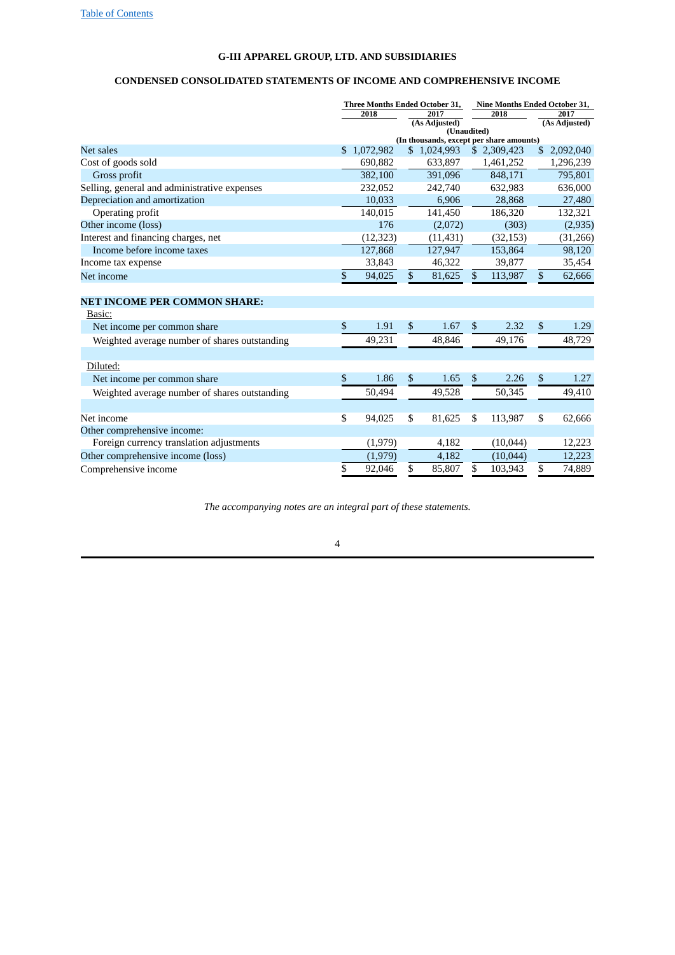# <span id="page-3-0"></span>**G-III APPAREL GROUP, LTD. AND SUBSIDIARIES**

# **CONDENSED CONSOLIDATED STATEMENTS OF INCOME AND COMPREHENSIVE INCOME**

|                                               | Three Months Ended October 31,<br>2018<br>2017<br>(As Adjusted) |             |                |             | Nine Months Ended October 31,<br>2018    |                | 2017<br>(As Adjusted) |
|-----------------------------------------------|-----------------------------------------------------------------|-------------|----------------|-------------|------------------------------------------|----------------|-----------------------|
|                                               |                                                                 |             |                | (Unaudited) | (In thousands, except per share amounts) |                |                       |
| Net sales                                     |                                                                 | \$1,072,982 |                | \$1,024,993 | \$2,309,423                              | \$             | 2,092,040             |
| Cost of goods sold                            |                                                                 | 690,882     |                | 633,897     | 1,461,252                                |                | 1,296,239             |
| Gross profit                                  |                                                                 | 382,100     |                | 391,096     | 848,171                                  |                | 795,801               |
| Selling, general and administrative expenses  |                                                                 | 232,052     |                | 242,740     | 632,983                                  |                | 636,000               |
| Depreciation and amortization                 |                                                                 | 10,033      |                | 6,906       | 28,868                                   |                | 27,480                |
| Operating profit                              |                                                                 | 140,015     |                | 141,450     | 186,320                                  |                | 132,321               |
| Other income (loss)                           |                                                                 | 176         |                | (2,072)     | (303)                                    |                | (2,935)               |
| Interest and financing charges, net           |                                                                 | (12, 323)   |                | (11, 431)   | (32, 153)                                |                | (31,266)              |
| Income before income taxes                    |                                                                 | 127,868     |                | 127,947     | 153,864                                  |                | 98,120                |
| Income tax expense                            |                                                                 | 33,843      |                | 46,322      | 39,877                                   |                | 35,454                |
| Net income                                    | \$                                                              | 94,025      | $\mathbb{S}$   | 81,625      | \$<br>113,987                            | $\mathfrak{S}$ | 62,666                |
|                                               |                                                                 |             |                |             |                                          |                |                       |
| <b>NET INCOME PER COMMON SHARE:</b>           |                                                                 |             |                |             |                                          |                |                       |
| Basic:                                        |                                                                 |             |                |             |                                          |                |                       |
| Net income per common share                   | \$                                                              | 1.91        | $\mathfrak{S}$ | 1.67        | \$<br>2.32                               | $\mathfrak{S}$ | 1.29                  |
| Weighted average number of shares outstanding |                                                                 | 49,231      |                | 48,846      | 49,176                                   |                | 48,729                |
|                                               |                                                                 |             |                |             |                                          |                |                       |
| Diluted:                                      |                                                                 |             |                |             |                                          |                |                       |
| Net income per common share                   | \$                                                              | 1.86        | \$             | 1.65        | \$<br>2.26                               | \$             | 1.27                  |
| Weighted average number of shares outstanding |                                                                 | 50,494      |                | 49,528      | 50,345                                   |                | 49,410                |
|                                               |                                                                 |             |                |             |                                          |                |                       |
| Net income                                    | \$                                                              | 94,025      | \$             | 81,625      | \$<br>113,987                            | \$             | 62,666                |
| Other comprehensive income:                   |                                                                 |             |                |             |                                          |                |                       |
| Foreign currency translation adjustments      |                                                                 | (1,979)     |                | 4,182       | (10,044)                                 |                | 12,223                |
| Other comprehensive income (loss)             |                                                                 | (1,979)     |                | 4,182       | (10, 044)                                |                | 12,223                |
| Comprehensive income                          | \$                                                              | 92,046      | \$             | 85,807      | \$<br>103,943                            | \$             | 74,889                |

*The accompanying notes are an integral part of these statements.*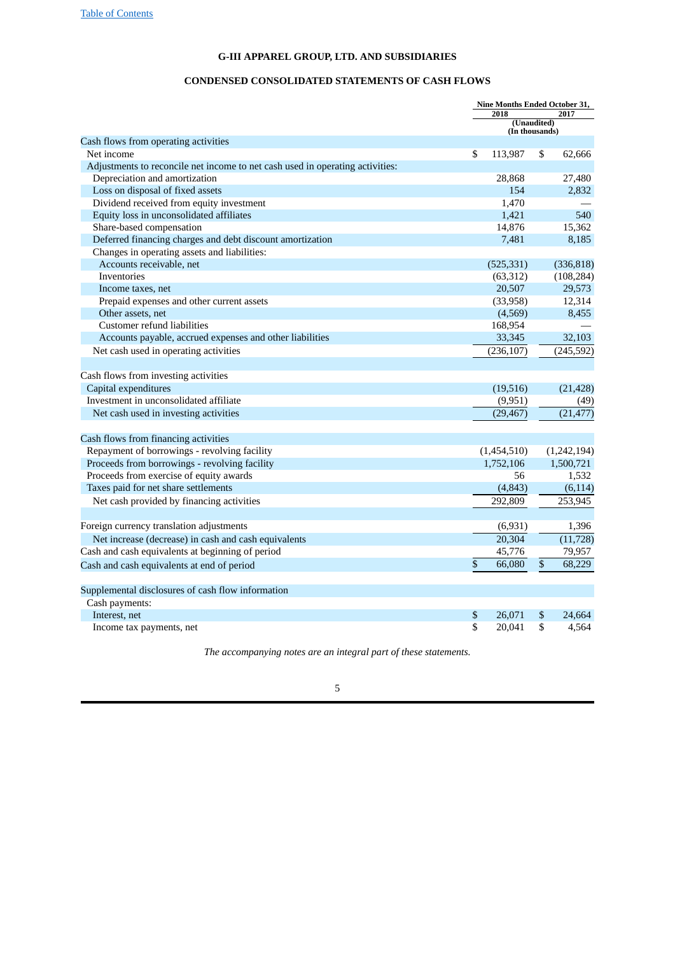# <span id="page-4-0"></span>**G-III APPAREL GROUP, LTD. AND SUBSIDIARIES**

# **CONDENSED CONSOLIDATED STATEMENTS OF CASH FLOWS**

|                                                                               | 2018          | Nine Months Ended October 31,<br>2017<br>(Unaudited)<br>(In thousands)<br>\$<br>62,666<br>27,480 |             |  |  |  |  |  |
|-------------------------------------------------------------------------------|---------------|--------------------------------------------------------------------------------------------------|-------------|--|--|--|--|--|
|                                                                               |               |                                                                                                  |             |  |  |  |  |  |
| Cash flows from operating activities                                          |               |                                                                                                  |             |  |  |  |  |  |
| Net income                                                                    | \$<br>113,987 |                                                                                                  |             |  |  |  |  |  |
| Adjustments to reconcile net income to net cash used in operating activities: |               |                                                                                                  |             |  |  |  |  |  |
| Depreciation and amortization                                                 | 28,868        |                                                                                                  |             |  |  |  |  |  |
| Loss on disposal of fixed assets                                              | 154           |                                                                                                  | 2,832       |  |  |  |  |  |
| Dividend received from equity investment                                      | 1,470         |                                                                                                  |             |  |  |  |  |  |
| Equity loss in unconsolidated affiliates                                      | 1,421         |                                                                                                  | 540         |  |  |  |  |  |
| Share-based compensation                                                      | 14,876        |                                                                                                  | 15,362      |  |  |  |  |  |
| Deferred financing charges and debt discount amortization                     | 7,481         |                                                                                                  | 8,185       |  |  |  |  |  |
| Changes in operating assets and liabilities:                                  |               |                                                                                                  |             |  |  |  |  |  |
| Accounts receivable, net                                                      | (525, 331)    |                                                                                                  | (336, 818)  |  |  |  |  |  |
| <b>Inventories</b>                                                            | (63, 312)     |                                                                                                  | (108, 284)  |  |  |  |  |  |
| Income taxes, net                                                             | 20,507        |                                                                                                  | 29,573      |  |  |  |  |  |
| Prepaid expenses and other current assets                                     | (33,958)      |                                                                                                  | 12,314      |  |  |  |  |  |
| Other assets, net                                                             | (4,569)       |                                                                                                  | 8,455       |  |  |  |  |  |
| Customer refund liabilities                                                   | 168,954       |                                                                                                  |             |  |  |  |  |  |
| Accounts payable, accrued expenses and other liabilities                      | 33,345        |                                                                                                  | 32,103      |  |  |  |  |  |
| Net cash used in operating activities                                         | (236, 107)    |                                                                                                  | (245, 592)  |  |  |  |  |  |
|                                                                               |               |                                                                                                  |             |  |  |  |  |  |
| Cash flows from investing activities                                          |               |                                                                                                  |             |  |  |  |  |  |
| Capital expenditures                                                          | (19,516)      |                                                                                                  | (21, 428)   |  |  |  |  |  |
| Investment in unconsolidated affiliate                                        | (9,951)       |                                                                                                  | (49)        |  |  |  |  |  |
| Net cash used in investing activities                                         | (29, 467)     |                                                                                                  | (21, 477)   |  |  |  |  |  |
|                                                                               |               |                                                                                                  |             |  |  |  |  |  |
| Cash flows from financing activities                                          |               |                                                                                                  |             |  |  |  |  |  |
| Repayment of borrowings - revolving facility                                  | (1,454,510)   |                                                                                                  | (1,242,194) |  |  |  |  |  |
| Proceeds from borrowings - revolving facility                                 | 1,752,106     |                                                                                                  | 1,500,721   |  |  |  |  |  |
| Proceeds from exercise of equity awards                                       | 56            |                                                                                                  | 1,532       |  |  |  |  |  |
| Taxes paid for net share settlements                                          | (4, 843)      |                                                                                                  | (6, 114)    |  |  |  |  |  |
| Net cash provided by financing activities                                     | 292.809       |                                                                                                  | 253.945     |  |  |  |  |  |
|                                                                               |               |                                                                                                  |             |  |  |  |  |  |
| Foreign currency translation adjustments                                      | (6,931)       |                                                                                                  | 1,396       |  |  |  |  |  |
| Net increase (decrease) in cash and cash equivalents                          | 20,304        |                                                                                                  | (11, 728)   |  |  |  |  |  |
| Cash and cash equivalents at beginning of period                              | 45,776        |                                                                                                  | 79,957      |  |  |  |  |  |
| Cash and cash equivalents at end of period                                    | \$<br>66,080  | \$                                                                                               | 68,229      |  |  |  |  |  |
|                                                                               |               |                                                                                                  |             |  |  |  |  |  |
| Supplemental disclosures of cash flow information                             |               |                                                                                                  |             |  |  |  |  |  |
| Cash payments:                                                                |               |                                                                                                  |             |  |  |  |  |  |
| Interest, net                                                                 | \$<br>26,071  | \$                                                                                               | 24.664      |  |  |  |  |  |
| Income tax payments, net                                                      | \$<br>20,041  | \$                                                                                               | 4,564       |  |  |  |  |  |
|                                                                               |               |                                                                                                  |             |  |  |  |  |  |

*The accompanying notes are an integral part of these statements.*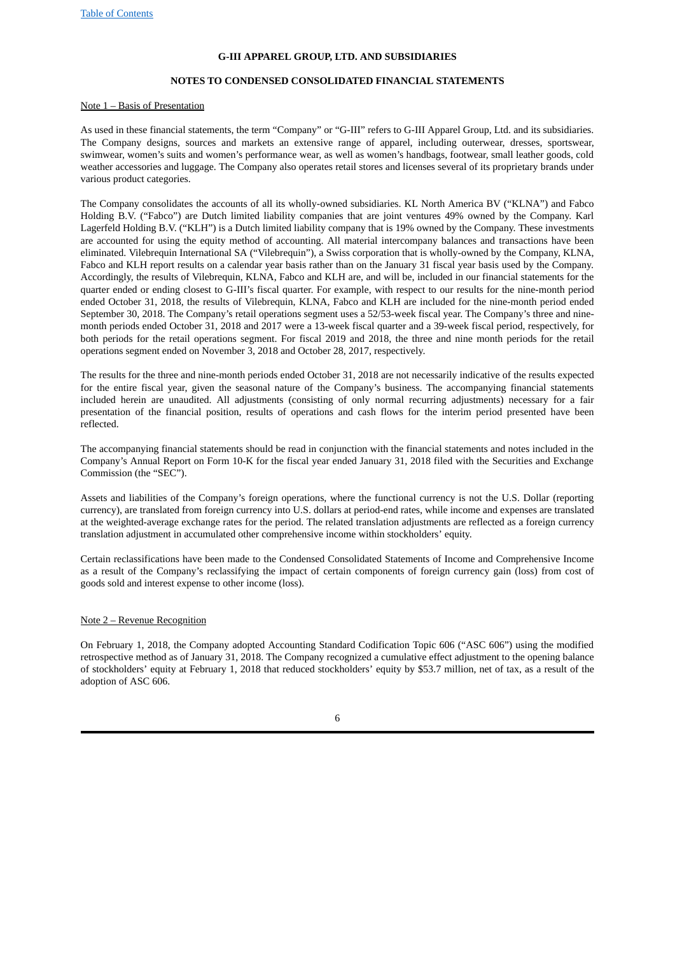# <span id="page-5-0"></span>**G-III APPAREL GROUP, LTD. AND SUBSIDIARIES**

# **NOTES TO CONDENSED CONSOLIDATED FINANCIAL STATEMENTS**

#### Note 1 – Basis of Presentation

As used in these financial statements, the term "Company" or "G-III" refers to G-III Apparel Group, Ltd. and its subsidiaries. The Company designs, sources and markets an extensive range of apparel, including outerwear, dresses, sportswear, swimwear, women's suits and women's performance wear, as well as women's handbags, footwear, small leather goods, cold weather accessories and luggage. The Company also operates retail stores and licenses several of its proprietary brands under various product categories.

The Company consolidates the accounts of all its wholly-owned subsidiaries. KL North America BV ("KLNA") and Fabco Holding B.V. ("Fabco") are Dutch limited liability companies that are joint ventures 49% owned by the Company. Karl Lagerfeld Holding B.V. ("KLH") is a Dutch limited liability company that is 19% owned by the Company. These investments are accounted for using the equity method of accounting. All material intercompany balances and transactions have been eliminated. Vilebrequin International SA ("Vilebrequin"), a Swiss corporation that is wholly-owned by the Company, KLNA, Fabco and KLH report results on a calendar year basis rather than on the January 31 fiscal year basis used by the Company. Accordingly, the results of Vilebrequin, KLNA, Fabco and KLH are, and will be, included in our financial statements for the quarter ended or ending closest to G-III's fiscal quarter. For example, with respect to our results for the nine-month period ended October 31, 2018, the results of Vilebrequin, KLNA, Fabco and KLH are included for the nine-month period ended September 30, 2018. The Company's retail operations segment uses a 52/53‑week fiscal year. The Company's three and ninemonth periods ended October 31, 2018 and 2017 were a 13‑week fiscal quarter and a 39‑week fiscal period, respectively, for both periods for the retail operations segment. For fiscal 2019 and 2018, the three and nine month periods for the retail operations segment ended on November 3, 2018 and October 28, 2017, respectively.

The results for the three and nine-month periods ended October 31, 2018 are not necessarily indicative of the results expected for the entire fiscal year, given the seasonal nature of the Company's business. The accompanying financial statements included herein are unaudited. All adjustments (consisting of only normal recurring adjustments) necessary for a fair presentation of the financial position, results of operations and cash flows for the interim period presented have been reflected.

The accompanying financial statements should be read in conjunction with the financial statements and notes included in the Company's Annual Report on Form 10‑K for the fiscal year ended January 31, 2018 filed with the Securities and Exchange Commission (the "SEC").

Assets and liabilities of the Company's foreign operations, where the functional currency is not the U.S. Dollar (reporting currency), are translated from foreign currency into U.S. dollars at period-end rates, while income and expenses are translated at the weighted-average exchange rates for the period. The related translation adjustments are reflected as a foreign currency translation adjustment in accumulated other comprehensive income within stockholders' equity.

Certain reclassifications have been made to the Condensed Consolidated Statements of Income and Comprehensive Income as a result of the Company's reclassifying the impact of certain components of foreign currency gain (loss) from cost of goods sold and interest expense to other income (loss).

#### Note 2 – Revenue Recognition

On February 1, 2018, the Company adopted Accounting Standard Codification Topic 606 ("ASC 606") using the modified retrospective method as of January 31, 2018. The Company recognized a cumulative effect adjustment to the opening balance of stockholders' equity at February 1, 2018 that reduced stockholders' equity by \$53.7 million, net of tax, as a result of the adoption of ASC 606.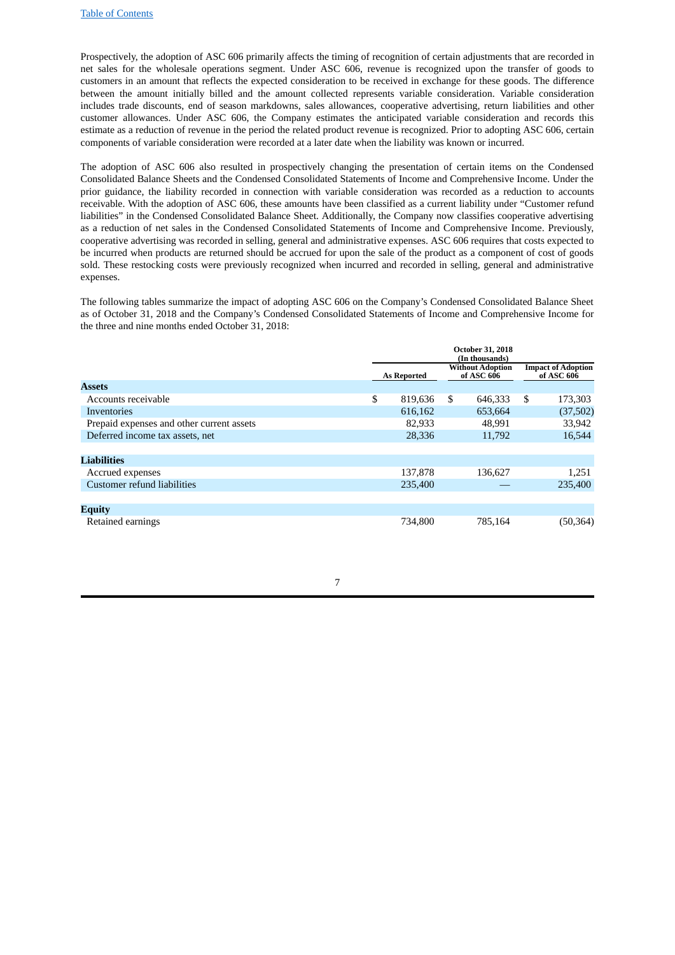Prospectively, the adoption of ASC 606 primarily affects the timing of recognition of certain adjustments that are recorded in net sales for the wholesale operations segment. Under ASC 606, revenue is recognized upon the transfer of goods to customers in an amount that reflects the expected consideration to be received in exchange for these goods. The difference between the amount initially billed and the amount collected represents variable consideration. Variable consideration includes trade discounts, end of season markdowns, sales allowances, cooperative advertising, return liabilities and other customer allowances. Under ASC 606, the Company estimates the anticipated variable consideration and records this estimate as a reduction of revenue in the period the related product revenue is recognized. Prior to adopting ASC 606, certain components of variable consideration were recorded at a later date when the liability was known or incurred.

The adoption of ASC 606 also resulted in prospectively changing the presentation of certain items on the Condensed Consolidated Balance Sheets and the Condensed Consolidated Statements of Income and Comprehensive Income. Under the prior guidance, the liability recorded in connection with variable consideration was recorded as a reduction to accounts receivable. With the adoption of ASC 606, these amounts have been classified as a current liability under "Customer refund liabilities" in the Condensed Consolidated Balance Sheet. Additionally, the Company now classifies cooperative advertising as a reduction of net sales in the Condensed Consolidated Statements of Income and Comprehensive Income. Previously, cooperative advertising was recorded in selling, general and administrative expenses. ASC 606 requires that costs expected to be incurred when products are returned should be accrued for upon the sale of the product as a component of cost of goods sold. These restocking costs were previously recognized when incurred and recorded in selling, general and administrative expenses.

The following tables summarize the impact of adopting ASC 606 on the Company's Condensed Consolidated Balance Sheet as of October 31, 2018 and the Company's Condensed Consolidated Statements of Income and Comprehensive Income for the three and nine months ended October 31, 2018:

|                                           | <b>As Reported</b> | <b>Without Adoption</b><br>of ASC 606 | <b>Impact of Adoption</b><br>of ASC 606 |
|-------------------------------------------|--------------------|---------------------------------------|-----------------------------------------|
| <b>Assets</b>                             |                    |                                       |                                         |
| Accounts receivable                       | \$<br>819,636      | \$<br>646,333                         | \$<br>173,303                           |
| Inventories                               | 616,162            | 653,664                               | (37,502)                                |
| Prepaid expenses and other current assets | 82,933             | 48,991                                | 33,942                                  |
| Deferred income tax assets, net           | 28,336             | 11,792                                | 16,544                                  |
|                                           |                    |                                       |                                         |
| <b>Liabilities</b>                        |                    |                                       |                                         |
| Accrued expenses                          | 137,878            | 136.627                               | 1,251                                   |
| Customer refund liabilities               | 235,400            |                                       | 235,400                                 |
|                                           |                    |                                       |                                         |
| <b>Equity</b>                             |                    |                                       |                                         |
| Retained earnings                         | 734,800            | 785,164                               | (50, 364)                               |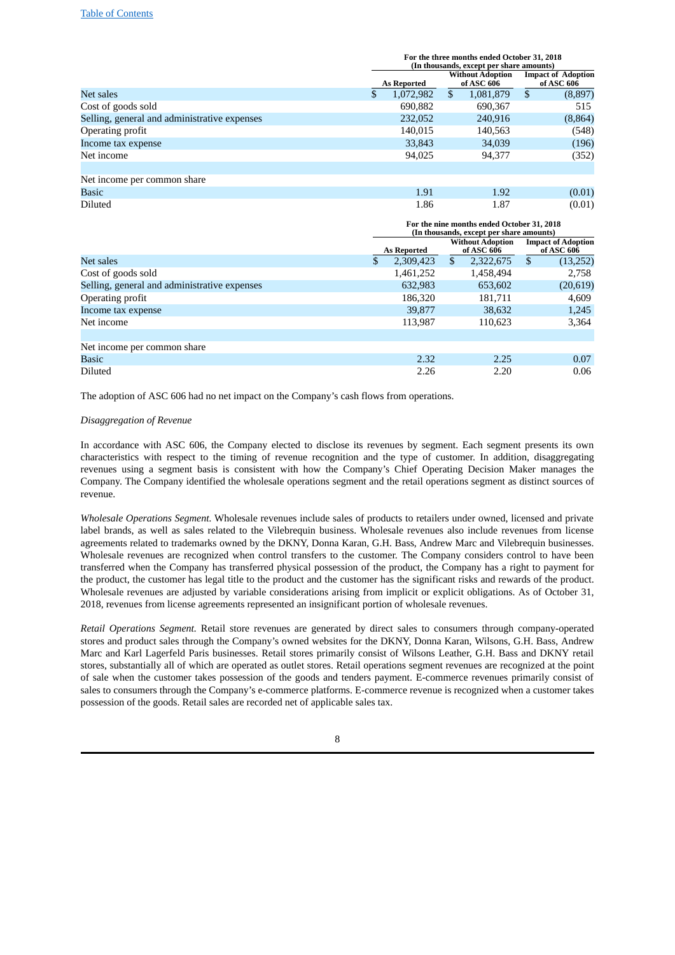|                                              | For the three months ended October 31, 2018<br>(In thousands, except per share amounts) |                    |    |                                       |   |                                           |  |  |
|----------------------------------------------|-----------------------------------------------------------------------------------------|--------------------|----|---------------------------------------|---|-------------------------------------------|--|--|
|                                              |                                                                                         | <b>As Reported</b> |    | <b>Without Adoption</b><br>of ASC 606 |   | <b>Impact of Adoption</b><br>of ASC $606$ |  |  |
| Net sales                                    | \$                                                                                      | 1,072,982          | \$ | 1,081,879                             | S | (8,897)                                   |  |  |
| Cost of goods sold                           |                                                                                         | 690,882            |    | 690,367                               |   | 515                                       |  |  |
| Selling, general and administrative expenses |                                                                                         | 232,052            |    | 240.916                               |   | (8,864)                                   |  |  |
| Operating profit                             |                                                                                         | 140,015            |    | 140,563                               |   | (548)                                     |  |  |
| Income tax expense                           |                                                                                         | 33,843             |    | 34,039                                |   | (196)                                     |  |  |
| Net income                                   |                                                                                         | 94,025             |    | 94,377                                |   | (352)                                     |  |  |
| Net income per common share                  |                                                                                         |                    |    |                                       |   |                                           |  |  |
| Basic                                        |                                                                                         | 1.91               |    | 1.92                                  |   | (0.01)                                    |  |  |
| <b>Diluted</b>                               |                                                                                         | 1.86               |    | 1.87                                  |   | (0.01)                                    |  |  |

|                                              | For the nine months ended October 31, 2018<br>(In thousands, except per share amounts) |                    |              |                                       |   |                                         |  |  |
|----------------------------------------------|----------------------------------------------------------------------------------------|--------------------|--------------|---------------------------------------|---|-----------------------------------------|--|--|
|                                              |                                                                                        | <b>As Reported</b> |              | <b>Without Adoption</b><br>of ASC 606 |   | <b>Impact of Adoption</b><br>of ASC 606 |  |  |
| Net sales                                    |                                                                                        | 2,309,423          | $\mathbb{S}$ | 2,322,675                             | S | (13,252)                                |  |  |
| Cost of goods sold                           |                                                                                        | 1,461,252          |              | 1,458,494                             |   | 2,758                                   |  |  |
| Selling, general and administrative expenses |                                                                                        | 632,983            |              | 653,602                               |   | (20, 619)                               |  |  |
| Operating profit                             |                                                                                        | 186,320            |              | 181.711                               |   | 4,609                                   |  |  |
| Income tax expense                           |                                                                                        | 39,877             |              | 38,632                                |   | 1,245                                   |  |  |
| Net income                                   |                                                                                        | 113,987            |              | 110,623                               |   | 3,364                                   |  |  |
| Net income per common share                  |                                                                                        |                    |              |                                       |   |                                         |  |  |
| <b>Basic</b>                                 |                                                                                        | 2.32               |              | 2.25                                  |   | 0.07                                    |  |  |
| <b>Diluted</b>                               |                                                                                        | 2.26               |              | 2.20                                  |   | 0.06                                    |  |  |

The adoption of ASC 606 had no net impact on the Company's cash flows from operations.

# *Disaggregation of Revenue*

In accordance with ASC 606, the Company elected to disclose its revenues by segment. Each segment presents its own characteristics with respect to the timing of revenue recognition and the type of customer. In addition, disaggregating revenues using a segment basis is consistent with how the Company's Chief Operating Decision Maker manages the Company. The Company identified the wholesale operations segment and the retail operations segment as distinct sources of revenue.

*Wholesale Operations Segment.* Wholesale revenues include sales of products to retailers under owned, licensed and private label brands, as well as sales related to the Vilebrequin business. Wholesale revenues also include revenues from license agreements related to trademarks owned by the DKNY, Donna Karan, G.H. Bass, Andrew Marc and Vilebrequin businesses. Wholesale revenues are recognized when control transfers to the customer. The Company considers control to have been transferred when the Company has transferred physical possession of the product, the Company has a right to payment for the product, the customer has legal title to the product and the customer has the significant risks and rewards of the product. Wholesale revenues are adjusted by variable considerations arising from implicit or explicit obligations. As of October 31, 2018, revenues from license agreements represented an insignificant portion of wholesale revenues.

*Retail Operations Segment.* Retail store revenues are generated by direct sales to consumers through company-operated stores and product sales through the Company's owned websites for the DKNY, Donna Karan, Wilsons, G.H. Bass, Andrew Marc and Karl Lagerfeld Paris businesses. Retail stores primarily consist of Wilsons Leather, G.H. Bass and DKNY retail stores, substantially all of which are operated as outlet stores. Retail operations segment revenues are recognized at the point of sale when the customer takes possession of the goods and tenders payment. E-commerce revenues primarily consist of sales to consumers through the Company's e-commerce platforms. E-commerce revenue is recognized when a customer takes possession of the goods. Retail sales are recorded net of applicable sales tax.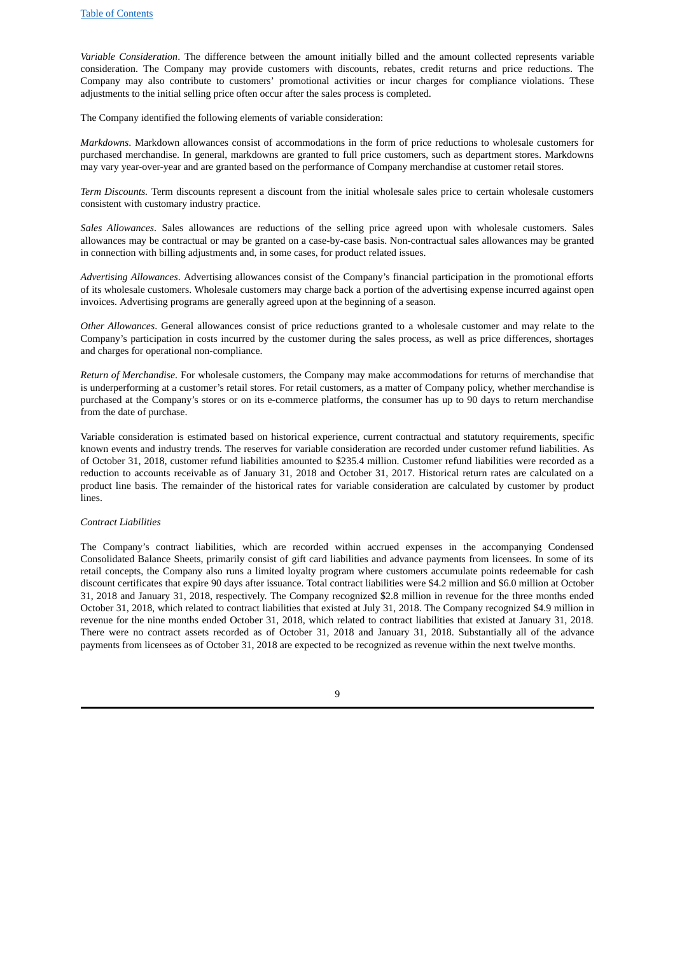*Variable Consideration*. The difference between the amount initially billed and the amount collected represents variable consideration. The Company may provide customers with discounts, rebates, credit returns and price reductions. The Company may also contribute to customers' promotional activities or incur charges for compliance violations. These adjustments to the initial selling price often occur after the sales process is completed.

The Company identified the following elements of variable consideration:

*Markdowns*. Markdown allowances consist of accommodations in the form of price reductions to wholesale customers for purchased merchandise. In general, markdowns are granted to full price customers, such as department stores. Markdowns may vary year-over-year and are granted based on the performance of Company merchandise at customer retail stores.

*Term Discounts.* Term discounts represent a discount from the initial wholesale sales price to certain wholesale customers consistent with customary industry practice.

*Sales Allowances*. Sales allowances are reductions of the selling price agreed upon with wholesale customers. Sales allowances may be contractual or may be granted on a case-by-case basis. Non-contractual sales allowances may be granted in connection with billing adjustments and, in some cases, for product related issues.

*Advertising Allowances*. Advertising allowances consist of the Company's financial participation in the promotional efforts of its wholesale customers. Wholesale customers may charge back a portion of the advertising expense incurred against open invoices. Advertising programs are generally agreed upon at the beginning of a season.

*Other Allowances*. General allowances consist of price reductions granted to a wholesale customer and may relate to the Company's participation in costs incurred by the customer during the sales process, as well as price differences, shortages and charges for operational non-compliance.

*Return of Merchandise*. For wholesale customers, the Company may make accommodations for returns of merchandise that is underperforming at a customer's retail stores. For retail customers, as a matter of Company policy, whether merchandise is purchased at the Company's stores or on its e-commerce platforms, the consumer has up to 90 days to return merchandise from the date of purchase.

Variable consideration is estimated based on historical experience, current contractual and statutory requirements, specific known events and industry trends. The reserves for variable consideration are recorded under customer refund liabilities. As of October 31, 2018, customer refund liabilities amounted to \$235.4 million. Customer refund liabilities were recorded as a reduction to accounts receivable as of January 31, 2018 and October 31, 2017. Historical return rates are calculated on a product line basis. The remainder of the historical rates for variable consideration are calculated by customer by product lines.

#### *Contract Liabilities*

The Company's contract liabilities, which are recorded within accrued expenses in the accompanying Condensed Consolidated Balance Sheets, primarily consist of gift card liabilities and advance payments from licensees. In some of its retail concepts, the Company also runs a limited loyalty program where customers accumulate points redeemable for cash discount certificates that expire 90 days after issuance. Total contract liabilities were \$4.2 million and \$6.0 million at October 31, 2018 and January 31, 2018, respectively. The Company recognized \$2.8 million in revenue for the three months ended October 31, 2018, which related to contract liabilities that existed at July 31, 2018. The Company recognized \$4.9 million in revenue for the nine months ended October 31, 2018, which related to contract liabilities that existed at January 31, 2018. There were no contract assets recorded as of October 31, 2018 and January 31, 2018. Substantially all of the advance payments from licensees as of October 31, 2018 are expected to be recognized as revenue within the next twelve months.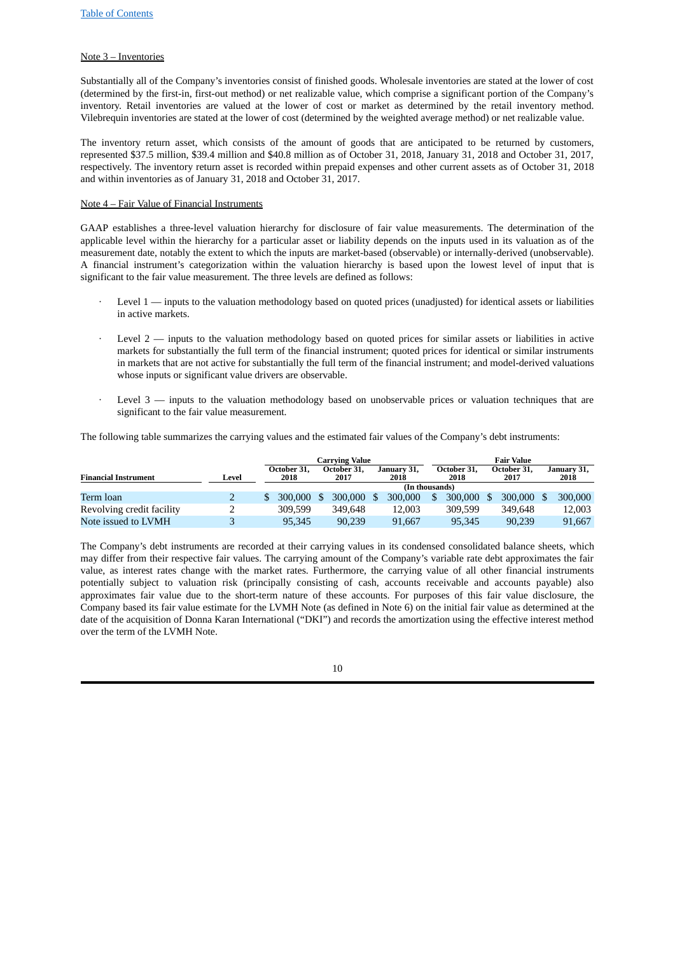# Note 3 – Inventories

Substantially all of the Company's inventories consist of finished goods. Wholesale inventories are stated at the lower of cost (determined by the first-in, first-out method) or net realizable value, which comprise a significant portion of the Company's inventory. Retail inventories are valued at the lower of cost or market as determined by the retail inventory method. Vilebrequin inventories are stated at the lower of cost (determined by the weighted average method) or net realizable value.

The inventory return asset, which consists of the amount of goods that are anticipated to be returned by customers, represented \$37.5 million, \$39.4 million and \$40.8 million as of October 31, 2018, January 31, 2018 and October 31, 2017, respectively. The inventory return asset is recorded within prepaid expenses and other current assets as of October 31, 2018 and within inventories as of January 31, 2018 and October 31, 2017.

# Note 4 – Fair Value of Financial Instruments

GAAP establishes a three-level valuation hierarchy for disclosure of fair value measurements. The determination of the applicable level within the hierarchy for a particular asset or liability depends on the inputs used in its valuation as of the measurement date, notably the extent to which the inputs are market-based (observable) or internally-derived (unobservable). A financial instrument's categorization within the valuation hierarchy is based upon the lowest level of input that is significant to the fair value measurement. The three levels are defined as follows:

- Level 1 inputs to the valuation methodology based on quoted prices (unadjusted) for identical assets or liabilities in active markets.
- Level  $2$  inputs to the valuation methodology based on quoted prices for similar assets or liabilities in active markets for substantially the full term of the financial instrument; quoted prices for identical or similar instruments in markets that are not active for substantially the full term of the financial instrument; and model-derived valuations whose inputs or significant value drivers are observable.
- Level  $3$  inputs to the valuation methodology based on unobservable prices or valuation techniques that are significant to the fair value measurement.

The following table summarizes the carrying values and the estimated fair values of the Company's debt instruments:

|                             |       | Carrying Value      |                     | Fair Value          |                     |  |                     |  |                     |
|-----------------------------|-------|---------------------|---------------------|---------------------|---------------------|--|---------------------|--|---------------------|
| <b>Financial Instrument</b> | Level | October 31,<br>2018 | October 31.<br>2017 | January 31,<br>2018 | October 31,<br>2018 |  | October 31.<br>2017 |  | January 31,<br>2018 |
|                             |       |                     |                     | (In thousands)      |                     |  |                     |  |                     |
| Term loan                   |       | 300,000             | 300,000 \$          | 300,000             | 300,000             |  | 300,000             |  | 300,000             |
| Revolving credit facility   |       | 309.599             | 349.648             | 12.003              | 309.599             |  | 349,648             |  | 12.003              |
| Note issued to LVMH         |       | 95.345              | 90.239              | 91.667              | 95.345              |  | 90.239              |  | 91.667              |

The Company's debt instruments are recorded at their carrying values in its condensed consolidated balance sheets, which may differ from their respective fair values. The carrying amount of the Company's variable rate debt approximates the fair value, as interest rates change with the market rates. Furthermore, the carrying value of all other financial instruments potentially subject to valuation risk (principally consisting of cash, accounts receivable and accounts payable) also approximates fair value due to the short-term nature of these accounts. For purposes of this fair value disclosure, the Company based its fair value estimate for the LVMH Note (as defined in Note 6) on the initial fair value as determined at the date of the acquisition of Donna Karan International ("DKI") and records the amortization using the effective interest method over the term of the LVMH Note.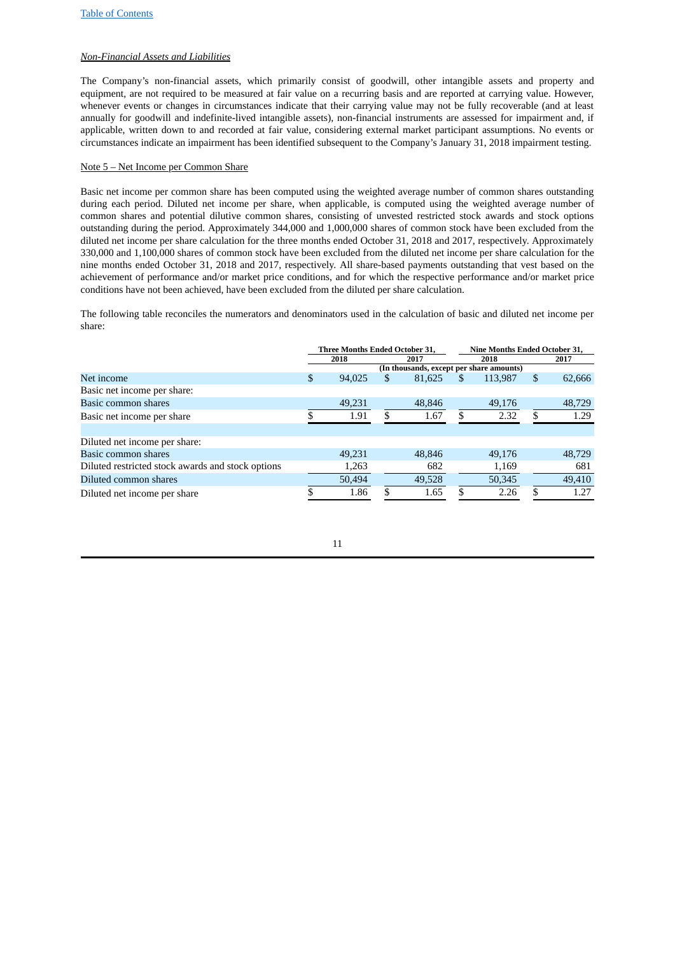# *Non-Financial Assets and Liabilities*

The Company's non-financial assets, which primarily consist of goodwill, other intangible assets and property and equipment, are not required to be measured at fair value on a recurring basis and are reported at carrying value. However, whenever events or changes in circumstances indicate that their carrying value may not be fully recoverable (and at least annually for goodwill and indefinite-lived intangible assets), non-financial instruments are assessed for impairment and, if applicable, written down to and recorded at fair value, considering external market participant assumptions. No events or circumstances indicate an impairment has been identified subsequent to the Company's January 31, 2018 impairment testing.

# Note 5 – Net Income per Common Share

Basic net income per common share has been computed using the weighted average number of common shares outstanding during each period. Diluted net income per share, when applicable, is computed using the weighted average number of common shares and potential dilutive common shares, consisting of unvested restricted stock awards and stock options outstanding during the period. Approximately 344,000 and 1,000,000 shares of common stock have been excluded from the diluted net income per share calculation for the three months ended October 31, 2018 and 2017, respectively. Approximately 330,000 and 1,100,000 shares of common stock have been excluded from the diluted net income per share calculation for the nine months ended October 31, 2018 and 2017, respectively. All share-based payments outstanding that vest based on the achievement of performance and/or market price conditions, and for which the respective performance and/or market price conditions have not been achieved, have been excluded from the diluted per share calculation.

The following table reconciles the numerators and denominators used in the calculation of basic and diluted net income per share:

|                                          | 2017                                                           |  |  |  |
|------------------------------------------|----------------------------------------------------------------|--|--|--|
| (In thousands, except per share amounts) |                                                                |  |  |  |
| \$                                       | 62,666                                                         |  |  |  |
|                                          |                                                                |  |  |  |
|                                          | 48,729                                                         |  |  |  |
| \$.                                      | 1.29                                                           |  |  |  |
|                                          |                                                                |  |  |  |
|                                          |                                                                |  |  |  |
|                                          | 48,729                                                         |  |  |  |
|                                          | 681                                                            |  |  |  |
|                                          | 49,410                                                         |  |  |  |
|                                          | 1.27                                                           |  |  |  |
|                                          | 113,987<br>49,176<br>2.32<br>49.176<br>1,169<br>50,345<br>2.26 |  |  |  |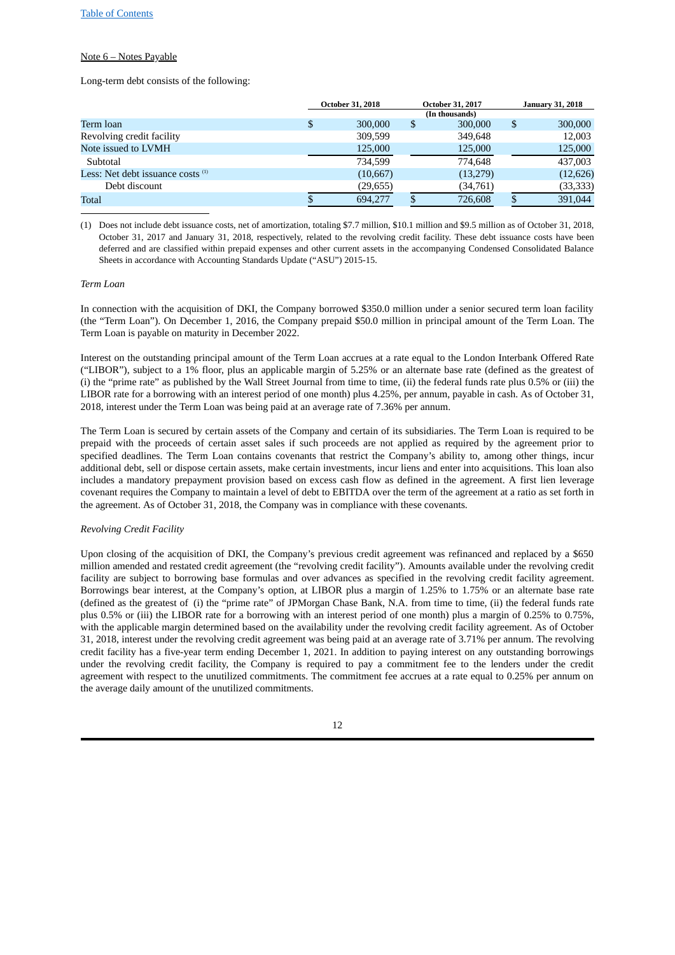# Note 6 – Notes Payable

Long-term debt consists of the following:

|                                     | <b>October 31, 2018</b> |    | October 31, 2017 | <b>January 31, 2018</b> |
|-------------------------------------|-------------------------|----|------------------|-------------------------|
|                                     |                         |    | (In thousands)   |                         |
| Term loan                           | \$<br>300,000           | S  | 300,000          | \$<br>300,000           |
| Revolving credit facility           | 309,599                 |    | 349,648          | 12,003                  |
| Note issued to LVMH                 | 125,000                 |    | 125,000          | 125,000                 |
| Subtotal                            | 734.599                 |    | 774,648          | 437,003                 |
| Less: Net debt issuance costs $(1)$ | (10, 667)               |    | (13,279)         | (12, 626)               |
| Debt discount                       | (29,655)                |    | (34,761)         | (33, 333)               |
| Total                               | 694.277                 | \$ | 726,608          | 391.044                 |

(1) Does not include debt issuance costs, net of amortization, totaling \$7.7 million, \$10.1 million and \$9.5 million as of October 31, 2018, October 31, 2017 and January 31, 2018, respectively, related to the revolving credit facility. These debt issuance costs have been deferred and are classified within prepaid expenses and other current assets in the accompanying Condensed Consolidated Balance Sheets in accordance with Accounting Standards Update ("ASU") 2015-15.

#### *Term Loan*

In connection with the acquisition of DKI, the Company borrowed \$350.0 million under a senior secured term loan facility (the "Term Loan"). On December 1, 2016, the Company prepaid \$50.0 million in principal amount of the Term Loan. The Term Loan is payable on maturity in December 2022.

Interest on the outstanding principal amount of the Term Loan accrues at a rate equal to the London Interbank Offered Rate ("LIBOR"), subject to a 1% floor, plus an applicable margin of 5.25% or an alternate base rate (defined as the greatest of (i) the "prime rate" as published by the Wall Street Journal from time to time, (ii) the federal funds rate plus 0.5% or (iii) the LIBOR rate for a borrowing with an interest period of one month) plus 4.25%, per annum, payable in cash. As of October 31, 2018, interest under the Term Loan was being paid at an average rate of 7.36% per annum.

The Term Loan is secured by certain assets of the Company and certain of its subsidiaries. The Term Loan is required to be prepaid with the proceeds of certain asset sales if such proceeds are not applied as required by the agreement prior to specified deadlines. The Term Loan contains covenants that restrict the Company's ability to, among other things, incur additional debt, sell or dispose certain assets, make certain investments, incur liens and enter into acquisitions. This loan also includes a mandatory prepayment provision based on excess cash flow as defined in the agreement. A first lien leverage covenant requires the Company to maintain a level of debt to EBITDA over the term of the agreement at a ratio as set forth in the agreement. As of October 31, 2018, the Company was in compliance with these covenants.

#### *Revolving Credit Facility*

Upon closing of the acquisition of DKI, the Company's previous credit agreement was refinanced and replaced by a \$650 million amended and restated credit agreement (the "revolving credit facility"). Amounts available under the revolving credit facility are subject to borrowing base formulas and over advances as specified in the revolving credit facility agreement. Borrowings bear interest, at the Company's option, at LIBOR plus a margin of 1.25% to 1.75% or an alternate base rate (defined as the greatest of (i) the "prime rate" of JPMorgan Chase Bank, N.A. from time to time, (ii) the federal funds rate plus 0.5% or (iii) the LIBOR rate for a borrowing with an interest period of one month) plus a margin of 0.25% to 0.75%, with the applicable margin determined based on the availability under the revolving credit facility agreement. As of October 31, 2018, interest under the revolving credit agreement was being paid at an average rate of 3.71% per annum. The revolving credit facility has a five-year term ending December 1, 2021. In addition to paying interest on any outstanding borrowings under the revolving credit facility, the Company is required to pay a commitment fee to the lenders under the credit agreement with respect to the unutilized commitments. The commitment fee accrues at a rate equal to 0.25% per annum on the average daily amount of the unutilized commitments.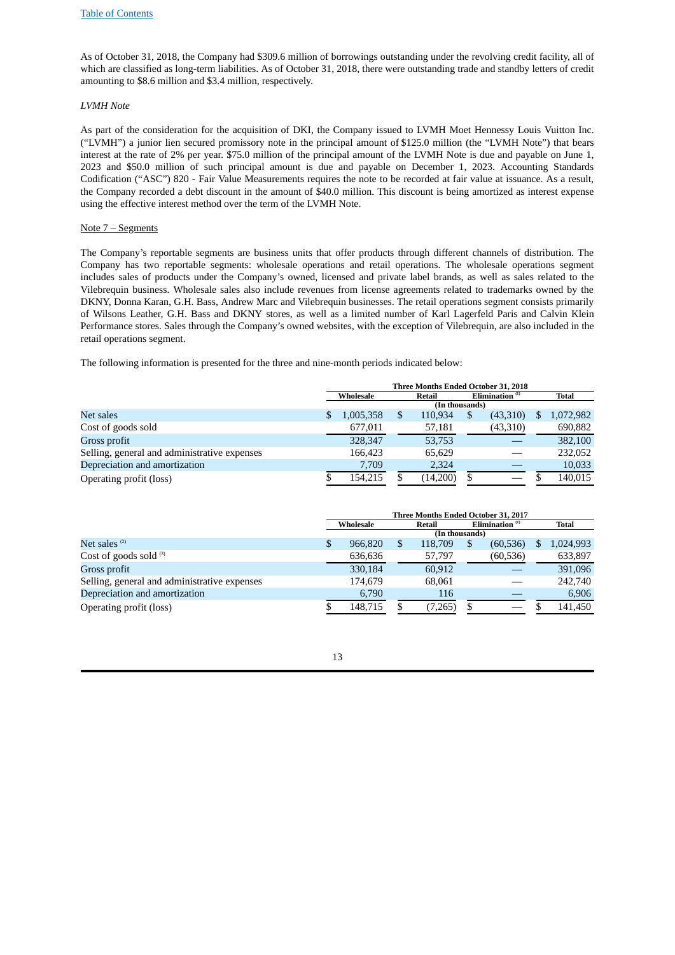As of October 31, 2018, the Company had \$309.6 million of borrowings outstanding under the revolving credit facility, all of which are classified as long-term liabilities. As of October 31, 2018, there were outstanding trade and standby letters of credit amounting to \$8.6 million and \$3.4 million, respectively.

# *LVMH Note*

As part of the consideration for the acquisition of DKI, the Company issued to LVMH Moet Hennessy Louis Vuitton Inc. ("LVMH") a junior lien secured promissory note in the principal amount of \$125.0 million (the "LVMH Note") that bears interest at the rate of 2% per year. \$75.0 million of the principal amount of the LVMH Note is due and payable on June 1, 2023 and \$50.0 million of such principal amount is due and payable on December 1, 2023. Accounting Standards Codification ("ASC") 820 - Fair Value Measurements requires the note to be recorded at fair value at issuance. As a result, the Company recorded a debt discount in the amount of \$40.0 million. This discount is being amortized as interest expense using the effective interest method over the term of the LVMH Note.

# Note 7 – Segments

The Company's reportable segments are business units that offer products through different channels of distribution. The Company has two reportable segments: wholesale operations and retail operations. The wholesale operations segment includes sales of products under the Company's owned, licensed and private label brands, as well as sales related to the Vilebrequin business. Wholesale sales also include revenues from license agreements related to trademarks owned by the DKNY, Donna Karan, G.H. Bass, Andrew Marc and Vilebrequin businesses. The retail operations segment consists primarily of Wilsons Leather, G.H. Bass and DKNY stores, as well as a limited number of Karl Lagerfeld Paris and Calvin Klein Performance stores. Sales through the Company's owned websites, with the exception of Vilebrequin, are also included in the retail operations segment.

The following information is presented for the three and nine-month periods indicated below:

|                                              | Three Months Ended October 31, 2018 |           |                                      |                |  |          |   |           |  |
|----------------------------------------------|-------------------------------------|-----------|--------------------------------------|----------------|--|----------|---|-----------|--|
|                                              |                                     | Wholesale | Elimination <sup>(1)</sup><br>Retail |                |  |          |   | Total     |  |
|                                              |                                     |           |                                      | (In thousands) |  |          |   |           |  |
| Net sales                                    |                                     | 1,005,358 | \$                                   | 110,934        |  | (43,310) | S | 1,072,982 |  |
| Cost of goods sold                           |                                     | 677,011   |                                      | 57,181         |  | (43,310) |   | 690,882   |  |
| Gross profit                                 |                                     | 328,347   |                                      | 53,753         |  |          |   | 382,100   |  |
| Selling, general and administrative expenses |                                     | 166,423   |                                      | 65,629         |  |          |   | 232,052   |  |
| Depreciation and amortization                |                                     | 7.709     |                                      | 2.324          |  |          |   | 10,033    |  |
| Operating profit (loss)                      |                                     | 154.215   |                                      | (14,200)       |  |          |   | 140,015   |  |

|                                              | Three Months Ended October 31, 2017 |           |   |                |  |                   |  |           |
|----------------------------------------------|-------------------------------------|-----------|---|----------------|--|-------------------|--|-----------|
|                                              |                                     | Wholesale |   | Retail         |  | Elimination $(1)$ |  | Total     |
|                                              |                                     |           |   | (In thousands) |  |                   |  |           |
| Net sales $(2)$                              | \$                                  | 966,820   | S | 118,709        |  | (60, 536)         |  | 1,024,993 |
| Cost of goods sold $(3)$                     |                                     | 636,636   |   | 57,797         |  | (60, 536)         |  | 633,897   |
| Gross profit                                 |                                     | 330.184   |   | 60.912         |  |                   |  | 391,096   |
| Selling, general and administrative expenses |                                     | 174.679   |   | 68.061         |  |                   |  | 242,740   |
| Depreciation and amortization                |                                     | 6.790     |   | 116            |  |                   |  | 6,906     |
| Operating profit (loss)                      |                                     | 148.715   |   | (7,265)        |  |                   |  | 141,450   |

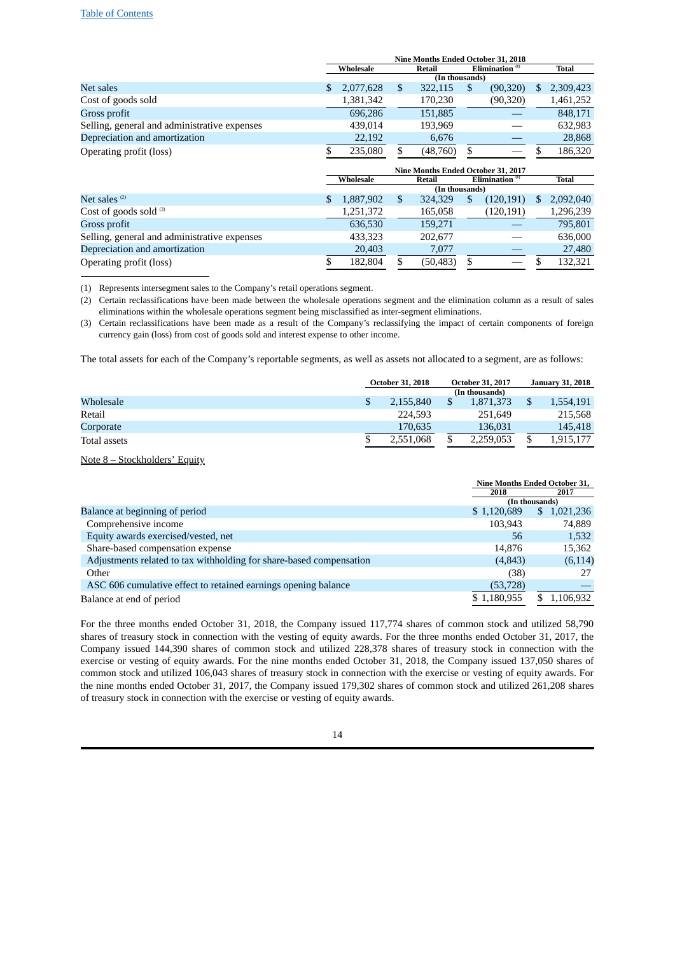|                                              | Nine Months Ended October 31, 2018 |           |    |                |     |                   |    |              |
|----------------------------------------------|------------------------------------|-----------|----|----------------|-----|-------------------|----|--------------|
|                                              |                                    | Wholesale |    | Retail         |     | Elimination $(1)$ |    | <b>Total</b> |
|                                              |                                    |           |    | (In thousands) |     |                   |    |              |
| Net sales                                    |                                    | 2,077,628 | \$ | 322,115        | \$. | (90, 320)         | \$ | 2,309,423    |
| Cost of goods sold                           |                                    | 1,381,342 |    | 170,230        |     | (90, 320)         |    | 1,461,252    |
| Gross profit                                 |                                    | 696,286   |    | 151,885        |     |                   |    | 848,171      |
| Selling, general and administrative expenses |                                    | 439,014   |    | 193,969        |     |                   |    | 632,983      |
| Depreciation and amortization                |                                    | 22,192    |    | 6,676          |     |                   |    | 28,868       |
| Operating profit (loss)                      |                                    | 235,080   | \$ | (48,760)       | \$  |                   | S  | 186,320      |
|                                              | Nine Months Ended October 31, 2017 |           |    |                |     |                   |    |              |
|                                              |                                    |           |    |                |     |                   |    |              |
|                                              |                                    | Wholesale |    | <b>Retail</b>  |     | Elimination $(1)$ |    | <b>Total</b> |
|                                              |                                    |           |    | (In thousands) |     |                   |    |              |
| Net sales $(2)$                              | \$                                 | 1,887,902 | \$ | 324,329        | \$  | (120, 191)        | \$ | 2,092,040    |
| Cost of goods sold $(3)$                     |                                    | 1,251,372 |    | 165,058        |     | (120, 191)        |    | 1,296,239    |
| Gross profit                                 |                                    | 636,530   |    | 159,271        |     |                   |    | 795,801      |
| Selling, general and administrative expenses |                                    | 433,323   |    | 202,677        |     |                   |    | 636,000      |
| Depreciation and amortization                |                                    | 20,403    |    | 7,077          |     |                   |    | 27,480       |

(1) Represents intersegment sales to the Company's retail operations segment.

(2) Certain reclassifications have been made between the wholesale operations segment and the elimination column as a result of sales eliminations within the wholesale operations segment being misclassified as inter-segment eliminations.

(3) Certain reclassifications have been made as a result of the Company's reclassifying the impact of certain components of foreign currency gain (loss) from cost of goods sold and interest expense to other income.

The total assets for each of the Company's reportable segments, as well as assets not allocated to a segment, are as follows:

|              | <b>October 31, 2018</b> | <b>October 31, 2017</b> | <b>January 31, 2018</b> |           |
|--------------|-------------------------|-------------------------|-------------------------|-----------|
|              |                         | (In thousands)          |                         |           |
| Wholesale    | 2.155.840               | 1,871,373               |                         | 1,554,191 |
| Retail       | 224.593                 | 251.649                 |                         | 215,568   |
| Corporate    | 170.635                 | 136.031                 |                         | 145,418   |
| Total assets | 2.551.068               | \$<br>2.259.053         |                         | 1,915,177 |

Note 8 – Stockholders' Equity

|                                                                     |             | Nine Months Ended October 31, |
|---------------------------------------------------------------------|-------------|-------------------------------|
|                                                                     | 2018        | 2017                          |
|                                                                     |             | (In thousands)                |
| Balance at beginning of period                                      | \$1,120,689 | 1,021,236<br>$\mathbb{S}$     |
| Comprehensive income                                                | 103.943     | 74,889                        |
| Equity awards exercised/vested, net                                 | 56          | 1,532                         |
| Share-based compensation expense                                    | 14.876      | 15,362                        |
| Adjustments related to tax withholding for share-based compensation | (4,843)     | (6, 114)                      |
| Other                                                               | (38)        | 27                            |
| ASC 606 cumulative effect to retained earnings opening balance      | (53, 728)   |                               |
| Balance at end of period                                            | \$1,180,955 | 1,106,932                     |

For the three months ended October 31, 2018, the Company issued 117,774 shares of common stock and utilized 58,790 shares of treasury stock in connection with the vesting of equity awards. For the three months ended October 31, 2017, the Company issued 144,390 shares of common stock and utilized 228,378 shares of treasury stock in connection with the exercise or vesting of equity awards. For the nine months ended October 31, 2018, the Company issued 137,050 shares of common stock and utilized 106,043 shares of treasury stock in connection with the exercise or vesting of equity awards. For the nine months ended October 31, 2017, the Company issued 179,302 shares of common stock and utilized 261,208 shares of treasury stock in connection with the exercise or vesting of equity awards.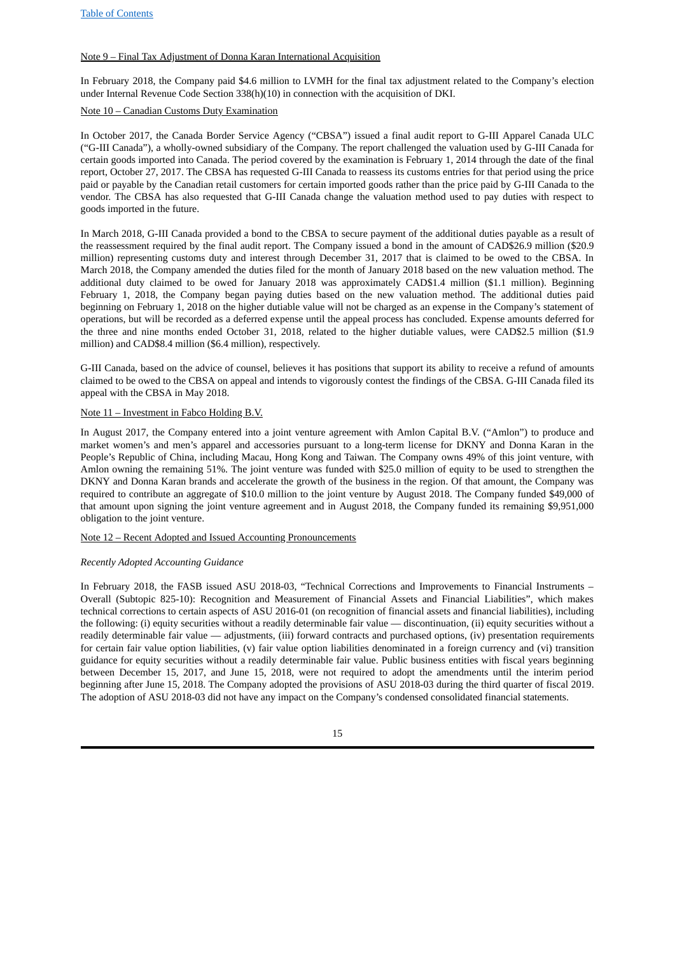# Note 9 – Final Tax Adjustment of Donna Karan International Acquisition

In February 2018, the Company paid \$4.6 million to LVMH for the final tax adjustment related to the Company's election under Internal Revenue Code Section 338(h)(10) in connection with the acquisition of DKI.

# Note 10 – Canadian Customs Duty Examination

In October 2017, the Canada Border Service Agency ("CBSA") issued a final audit report to G-III Apparel Canada ULC ("G-III Canada"), a wholly-owned subsidiary of the Company. The report challenged the valuation used by G-III Canada for certain goods imported into Canada. The period covered by the examination is February 1, 2014 through the date of the final report, October 27, 2017. The CBSA has requested G-III Canada to reassess its customs entries for that period using the price paid or payable by the Canadian retail customers for certain imported goods rather than the price paid by G-III Canada to the vendor. The CBSA has also requested that G-III Canada change the valuation method used to pay duties with respect to goods imported in the future.

In March 2018, G-III Canada provided a bond to the CBSA to secure payment of the additional duties payable as a result of the reassessment required by the final audit report. The Company issued a bond in the amount of CAD\$26.9 million (\$20.9 million) representing customs duty and interest through December 31, 2017 that is claimed to be owed to the CBSA. In March 2018, the Company amended the duties filed for the month of January 2018 based on the new valuation method. The additional duty claimed to be owed for January 2018 was approximately CAD\$1.4 million (\$1.1 million). Beginning February 1, 2018, the Company began paying duties based on the new valuation method. The additional duties paid beginning on February 1, 2018 on the higher dutiable value will not be charged as an expense in the Company's statement of operations, but will be recorded as a deferred expense until the appeal process has concluded. Expense amounts deferred for the three and nine months ended October 31, 2018, related to the higher dutiable values, were CAD\$2.5 million (\$1.9 million) and CAD\$8.4 million (\$6.4 million), respectively.

G-III Canada, based on the advice of counsel, believes it has positions that support its ability to receive a refund of amounts claimed to be owed to the CBSA on appeal and intends to vigorously contest the findings of the CBSA. G-III Canada filed its appeal with the CBSA in May 2018.

#### Note 11 – Investment in Fabco Holding B.V.

In August 2017, the Company entered into a joint venture agreement with Amlon Capital B.V. ("Amlon") to produce and market women's and men's apparel and accessories pursuant to a long-term license for DKNY and Donna Karan in the People's Republic of China, including Macau, Hong Kong and Taiwan. The Company owns 49% of this joint venture, with Amlon owning the remaining 51%. The joint venture was funded with \$25.0 million of equity to be used to strengthen the DKNY and Donna Karan brands and accelerate the growth of the business in the region. Of that amount, the Company was required to contribute an aggregate of \$10.0 million to the joint venture by August 2018. The Company funded \$49,000 of that amount upon signing the joint venture agreement and in August 2018, the Company funded its remaining \$9,951,000 obligation to the joint venture.

#### Note 12 – Recent Adopted and Issued Accounting Pronouncements

#### *Recently Adopted Accounting Guidance*

In February 2018, the FASB issued ASU 2018-03, "Technical Corrections and Improvements to Financial Instruments -Overall (Subtopic 825‑10): Recognition and Measurement of Financial Assets and Financial Liabilities", which makes technical corrections to certain aspects of ASU 2016-01 (on recognition of financial assets and financial liabilities), including the following: (i) equity securities without a readily determinable fair value — discontinuation, (ii) equity securities without a readily determinable fair value — adjustments, (iii) forward contracts and purchased options, (iv) presentation requirements for certain fair value option liabilities, (v) fair value option liabilities denominated in a foreign currency and (vi) transition guidance for equity securities without a readily determinable fair value. Public business entities with fiscal years beginning between December 15, 2017, and June 15, 2018, were not required to adopt the amendments until the interim period beginning after June 15, 2018. The Company adopted the provisions of ASU 2018‑03 during the third quarter of fiscal 2019. The adoption of ASU 2018‑03 did not have any impact on the Company's condensed consolidated financial statements.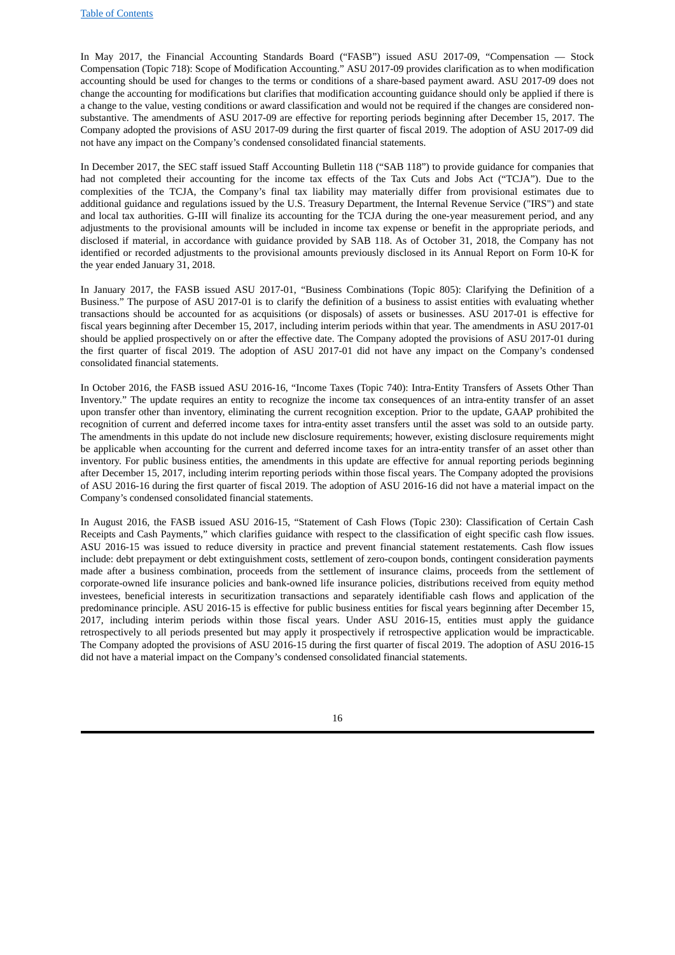In May 2017, the Financial Accounting Standards Board ("FASB") issued ASU 2017‑09, "Compensation — Stock Compensation (Topic 718): Scope of Modification Accounting." ASU 2017‑09 provides clarification as to when modification accounting should be used for changes to the terms or conditions of a share-based payment award. ASU 2017‑09 does not change the accounting for modifications but clarifies that modification accounting guidance should only be applied if there is a change to the value, vesting conditions or award classification and would not be required if the changes are considered nonsubstantive. The amendments of ASU 2017‑09 are effective for reporting periods beginning after December 15, 2017. The Company adopted the provisions of ASU 2017‑09 during the first quarter of fiscal 2019. The adoption of ASU 2017‑09 did not have any impact on the Company's condensed consolidated financial statements.

In December 2017, the SEC staff issued Staff Accounting Bulletin 118 ("SAB 118") to provide guidance for companies that had not completed their accounting for the income tax effects of the Tax Cuts and Jobs Act ("TCJA"). Due to the complexities of the TCJA, the Company's final tax liability may materially differ from provisional estimates due to additional guidance and regulations issued by the U.S. Treasury Department, the Internal Revenue Service ("IRS") and state and local tax authorities. G-III will finalize its accounting for the TCJA during the one-year measurement period, and any adjustments to the provisional amounts will be included in income tax expense or benefit in the appropriate periods, and disclosed if material, in accordance with guidance provided by SAB 118. As of October 31, 2018, the Company has not identified or recorded adjustments to the provisional amounts previously disclosed in its Annual Report on Form 10‑K for the year ended January 31, 2018.

In January 2017, the FASB issued ASU 2017‑01, "Business Combinations (Topic 805): Clarifying the Definition of a Business." The purpose of ASU 2017‑01 is to clarify the definition of a business to assist entities with evaluating whether transactions should be accounted for as acquisitions (or disposals) of assets or businesses. ASU 2017‑01 is effective for fiscal years beginning after December 15, 2017, including interim periods within that year. The amendments in ASU 2017‑01 should be applied prospectively on or after the effective date. The Company adopted the provisions of ASU 2017‑01 during the first quarter of fiscal 2019. The adoption of ASU 2017‑01 did not have any impact on the Company's condensed consolidated financial statements.

In October 2016, the FASB issued ASU 2016‑16, "Income Taxes (Topic 740): Intra-Entity Transfers of Assets Other Than Inventory." The update requires an entity to recognize the income tax consequences of an intra-entity transfer of an asset upon transfer other than inventory, eliminating the current recognition exception. Prior to the update, GAAP prohibited the recognition of current and deferred income taxes for intra-entity asset transfers until the asset was sold to an outside party. The amendments in this update do not include new disclosure requirements; however, existing disclosure requirements might be applicable when accounting for the current and deferred income taxes for an intra-entity transfer of an asset other than inventory. For public business entities, the amendments in this update are effective for annual reporting periods beginning after December 15, 2017, including interim reporting periods within those fiscal years. The Company adopted the provisions of ASU 2016‑16 during the first quarter of fiscal 2019. The adoption of ASU 2016‑16 did not have a material impact on the Company's condensed consolidated financial statements.

In August 2016, the FASB issued ASU 2016‑15, "Statement of Cash Flows (Topic 230): Classification of Certain Cash Receipts and Cash Payments," which clarifies guidance with respect to the classification of eight specific cash flow issues. ASU 2016-15 was issued to reduce diversity in practice and prevent financial statement restatements. Cash flow issues include: debt prepayment or debt extinguishment costs, settlement of zero-coupon bonds, contingent consideration payments made after a business combination, proceeds from the settlement of insurance claims, proceeds from the settlement of corporate-owned life insurance policies and bank-owned life insurance policies, distributions received from equity method investees, beneficial interests in securitization transactions and separately identifiable cash flows and application of the predominance principle. ASU 2016‑15 is effective for public business entities for fiscal years beginning after December 15, 2017, including interim periods within those fiscal years. Under ASU 2016‑15, entities must apply the guidance retrospectively to all periods presented but may apply it prospectively if retrospective application would be impracticable. The Company adopted the provisions of ASU 2016‑15 during the first quarter of fiscal 2019. The adoption of ASU 2016‑15 did not have a material impact on the Company's condensed consolidated financial statements.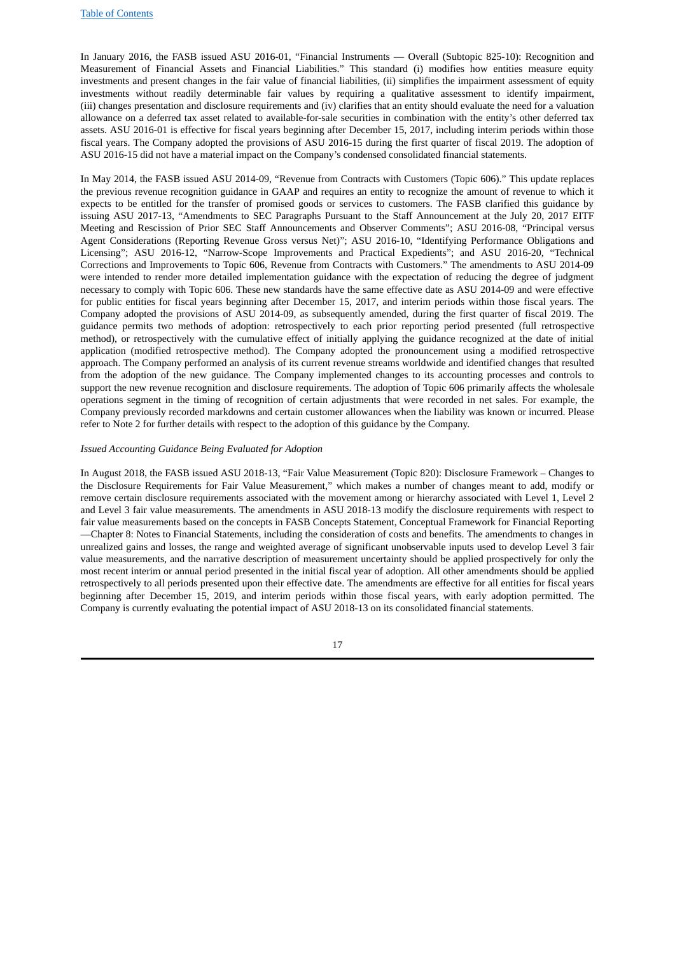In January 2016, the FASB issued ASU 2016‑01, "Financial Instruments — Overall (Subtopic 825‑10): Recognition and Measurement of Financial Assets and Financial Liabilities." This standard (i) modifies how entities measure equity investments and present changes in the fair value of financial liabilities, (ii) simplifies the impairment assessment of equity investments without readily determinable fair values by requiring a qualitative assessment to identify impairment, (iii) changes presentation and disclosure requirements and (iv) clarifies that an entity should evaluate the need for a valuation allowance on a deferred tax asset related to available-for-sale securities in combination with the entity's other deferred tax assets. ASU 2016‑01 is effective for fiscal years beginning after December 15, 2017, including interim periods within those fiscal years. The Company adopted the provisions of ASU 2016-15 during the first quarter of fiscal 2019. The adoption of ASU 2016‑15 did not have a material impact on the Company's condensed consolidated financial statements.

In May 2014, the FASB issued ASU 2014-09, "Revenue from Contracts with Customers (Topic 606)." This update replaces the previous revenue recognition guidance in GAAP and requires an entity to recognize the amount of revenue to which it expects to be entitled for the transfer of promised goods or services to customers. The FASB clarified this guidance by issuing ASU 2017‑13, "Amendments to SEC Paragraphs Pursuant to the Staff Announcement at the July 20, 2017 EITF Meeting and Rescission of Prior SEC Staff Announcements and Observer Comments"; ASU 2016‑08, "Principal versus Agent Considerations (Reporting Revenue Gross versus Net)"; ASU 2016-10, "Identifying Performance Obligations and Licensing"; ASU 2016-12, "Narrow-Scope Improvements and Practical Expedients"; and ASU 2016-20, "Technical Corrections and Improvements to Topic 606, Revenue from Contracts with Customers." The amendments to ASU 2014‑09 were intended to render more detailed implementation guidance with the expectation of reducing the degree of judgment necessary to comply with Topic 606. These new standards have the same effective date as ASU 2014‑09 and were effective for public entities for fiscal years beginning after December 15, 2017, and interim periods within those fiscal years. The Company adopted the provisions of ASU 2014‑09, as subsequently amended, during the first quarter of fiscal 2019. The guidance permits two methods of adoption: retrospectively to each prior reporting period presented (full retrospective method), or retrospectively with the cumulative effect of initially applying the guidance recognized at the date of initial application (modified retrospective method). The Company adopted the pronouncement using a modified retrospective approach. The Company performed an analysis of its current revenue streams worldwide and identified changes that resulted from the adoption of the new guidance. The Company implemented changes to its accounting processes and controls to support the new revenue recognition and disclosure requirements. The adoption of Topic 606 primarily affects the wholesale operations segment in the timing of recognition of certain adjustments that were recorded in net sales. For example, the Company previously recorded markdowns and certain customer allowances when the liability was known or incurred. Please refer to Note 2 for further details with respect to the adoption of this guidance by the Company.

# *Issued Accounting Guidance Being Evaluated for Adoption*

In August 2018, the FASB issued ASU 2018-13, "Fair Value Measurement (Topic 820): Disclosure Framework – Changes to the Disclosure Requirements for Fair Value Measurement," which makes a number of changes meant to add, modify or remove certain disclosure requirements associated with the movement among or hierarchy associated with Level 1, Level 2 and Level 3 fair value measurements. The amendments in ASU 2018-13 modify the disclosure requirements with respect to fair value measurements based on the concepts in FASB Concepts Statement, Conceptual Framework for Financial Reporting —Chapter 8: Notes to Financial Statements, including the consideration of costs and benefits. The amendments to changes in unrealized gains and losses, the range and weighted average of significant unobservable inputs used to develop Level 3 fair value measurements, and the narrative description of measurement uncertainty should be applied prospectively for only the most recent interim or annual period presented in the initial fiscal year of adoption. All other amendments should be applied retrospectively to all periods presented upon their effective date. The amendments are effective for all entities for fiscal years beginning after December 15, 2019, and interim periods within those fiscal years, with early adoption permitted. The Company is currently evaluating the potential impact of ASU 2018-13 on its consolidated financial statements.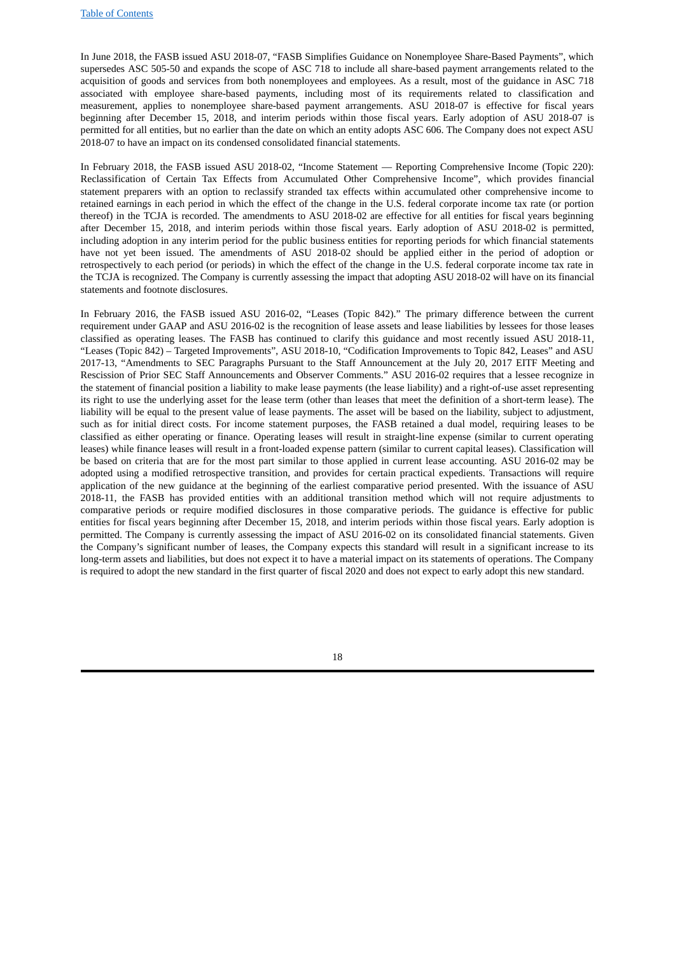In June 2018, the FASB issued ASU 2018‑07, "FASB Simplifies Guidance on Nonemployee Share-Based Payments", which supersedes ASC 505-50 and expands the scope of ASC 718 to include all share-based payment arrangements related to the acquisition of goods and services from both nonemployees and employees. As a result, most of the guidance in ASC 718 associated with employee share-based payments, including most of its requirements related to classification and measurement, applies to nonemployee share-based payment arrangements. ASU 2018‑07 is effective for fiscal years beginning after December 15, 2018, and interim periods within those fiscal years. Early adoption of ASU 2018-07 is permitted for all entities, but no earlier than the date on which an entity adopts ASC 606. The Company does not expect ASU 2018‑07 to have an impact on its condensed consolidated financial statements.

In February 2018, the FASB issued ASU 2018-02, "Income Statement — Reporting Comprehensive Income (Topic 220): Reclassification of Certain Tax Effects from Accumulated Other Comprehensive Income", which provides financial statement preparers with an option to reclassify stranded tax effects within accumulated other comprehensive income to retained earnings in each period in which the effect of the change in the U.S. federal corporate income tax rate (or portion thereof) in the TCJA is recorded. The amendments to ASU 2018-02 are effective for all entities for fiscal years beginning after December 15, 2018, and interim periods within those fiscal years. Early adoption of ASU 2018‑02 is permitted, including adoption in any interim period for the public business entities for reporting periods for which financial statements have not yet been issued. The amendments of ASU 2018‑02 should be applied either in the period of adoption or retrospectively to each period (or periods) in which the effect of the change in the U.S. federal corporate income tax rate in the TCJA is recognized. The Company is currently assessing the impact that adopting ASU 2018-02 will have on its financial statements and footnote disclosures.

In February 2016, the FASB issued ASU 2016‑02, "Leases (Topic 842)." The primary difference between the current requirement under GAAP and ASU 2016‑02 is the recognition of lease assets and lease liabilities by lessees for those leases classified as operating leases. The FASB has continued to clarify this guidance and most recently issued ASU 2018-11, "Leases (Topic 842) – Targeted Improvements", ASU 2018-10, "Codification Improvements to Topic 842, Leases" and ASU 2017‑13, "Amendments to SEC Paragraphs Pursuant to the Staff Announcement at the July 20, 2017 EITF Meeting and Rescission of Prior SEC Staff Announcements and Observer Comments." ASU 2016‑02 requires that a lessee recognize in the statement of financial position a liability to make lease payments (the lease liability) and a right-of-use asset representing its right to use the underlying asset for the lease term (other than leases that meet the definition of a short-term lease). The liability will be equal to the present value of lease payments. The asset will be based on the liability, subject to adjustment, such as for initial direct costs. For income statement purposes, the FASB retained a dual model, requiring leases to be classified as either operating or finance. Operating leases will result in straight-line expense (similar to current operating leases) while finance leases will result in a front-loaded expense pattern (similar to current capital leases). Classification will be based on criteria that are for the most part similar to those applied in current lease accounting. ASU 2016-02 may be adopted using a modified retrospective transition, and provides for certain practical expedients. Transactions will require application of the new guidance at the beginning of the earliest comparative period presented. With the issuance of ASU 2018-11, the FASB has provided entities with an additional transition method which will not require adjustments to comparative periods or require modified disclosures in those comparative periods. The guidance is effective for public entities for fiscal years beginning after December 15, 2018, and interim periods within those fiscal years. Early adoption is permitted. The Company is currently assessing the impact of ASU 2016‑02 on its consolidated financial statements. Given the Company's significant number of leases, the Company expects this standard will result in a significant increase to its long-term assets and liabilities, but does not expect it to have a material impact on its statements of operations. The Company is required to adopt the new standard in the first quarter of fiscal 2020 and does not expect to early adopt this new standard.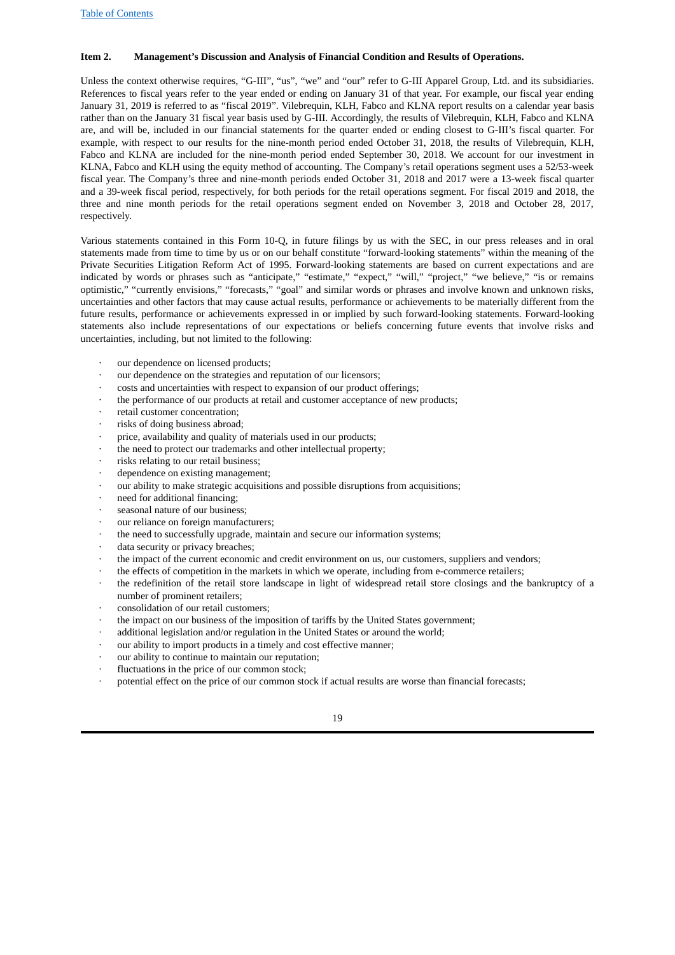# <span id="page-18-0"></span>**Item 2. Management's Discussion and Analysis of Financial Condition and Results of Operations.**

Unless the context otherwise requires, "G-III", "us", "we" and "our" refer to G-III Apparel Group, Ltd. and its subsidiaries. References to fiscal years refer to the year ended or ending on January 31 of that year. For example, our fiscal year ending January 31, 2019 is referred to as "fiscal 2019". Vilebrequin, KLH, Fabco and KLNA report results on a calendar year basis rather than on the January 31 fiscal year basis used by G-III. Accordingly, the results of Vilebrequin, KLH, Fabco and KLNA are, and will be, included in our financial statements for the quarter ended or ending closest to G-III's fiscal quarter. For example, with respect to our results for the nine-month period ended October 31, 2018, the results of Vilebrequin, KLH, Fabco and KLNA are included for the nine-month period ended September 30, 2018. We account for our investment in KLNA, Fabco and KLH using the equity method of accounting. The Company's retail operations segment uses a 52/53‑week fiscal year. The Company's three and nine-month periods ended October 31, 2018 and 2017 were a 13‑week fiscal quarter and a 39‑week fiscal period, respectively, for both periods for the retail operations segment. For fiscal 2019 and 2018, the three and nine month periods for the retail operations segment ended on November 3, 2018 and October 28, 2017, respectively.

Various statements contained in this Form 10‑Q, in future filings by us with the SEC, in our press releases and in oral statements made from time to time by us or on our behalf constitute "forward-looking statements" within the meaning of the Private Securities Litigation Reform Act of 1995. Forward-looking statements are based on current expectations and are indicated by words or phrases such as "anticipate," "estimate," "expect," "will," "project," "we believe," "is or remains optimistic," "currently envisions," "forecasts," "goal" and similar words or phrases and involve known and unknown risks, uncertainties and other factors that may cause actual results, performance or achievements to be materially different from the future results, performance or achievements expressed in or implied by such forward-looking statements. Forward-looking statements also include representations of our expectations or beliefs concerning future events that involve risks and uncertainties, including, but not limited to the following:

- our dependence on licensed products;
- our dependence on the strategies and reputation of our licensors;
- · costs and uncertainties with respect to expansion of our product offerings;
- the performance of our products at retail and customer acceptance of new products;
- retail customer concentration;
- risks of doing business abroad;
- price, availability and quality of materials used in our products;
- the need to protect our trademarks and other intellectual property;
- risks relating to our retail business;
- dependence on existing management;
- our ability to make strategic acquisitions and possible disruptions from acquisitions;
- need for additional financing:
- · seasonal nature of our business;
- our reliance on foreign manufacturers;
- the need to successfully upgrade, maintain and secure our information systems;
- data security or privacy breaches;
- the impact of the current economic and credit environment on us, our customers, suppliers and vendors;
- the effects of competition in the markets in which we operate, including from e-commerce retailers;
- the redefinition of the retail store landscape in light of widespread retail store closings and the bankruptcy of a number of prominent retailers;
- · consolidation of our retail customers;
- the impact on our business of the imposition of tariffs by the United States government;
- additional legislation and/or regulation in the United States or around the world;
- our ability to import products in a timely and cost effective manner;
- our ability to continue to maintain our reputation;
- fluctuations in the price of our common stock;
- potential effect on the price of our common stock if actual results are worse than financial forecasts;

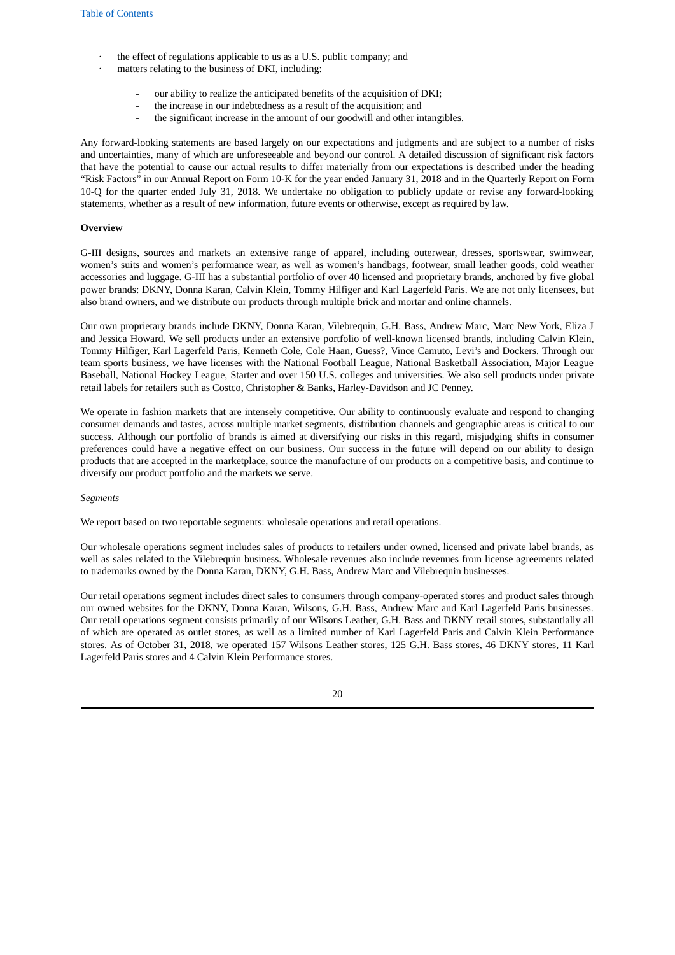- the effect of regulations applicable to us as a U.S. public company; and
- matters relating to the business of DKI, including:
	- our ability to realize the anticipated benefits of the acquisition of DKI;
	- the increase in our indebtedness as a result of the acquisition; and
	- the significant increase in the amount of our goodwill and other intangibles.

Any forward-looking statements are based largely on our expectations and judgments and are subject to a number of risks and uncertainties, many of which are unforeseeable and beyond our control. A detailed discussion of significant risk factors that have the potential to cause our actual results to differ materially from our expectations is described under the heading "Risk Factors" in our Annual Report on Form 10‑K for the year ended January 31, 2018 and in the Quarterly Report on Form 10-Q for the quarter ended July 31, 2018. We undertake no obligation to publicly update or revise any forward-looking statements, whether as a result of new information, future events or otherwise, except as required by law.

#### **Overview**

G-III designs, sources and markets an extensive range of apparel, including outerwear, dresses, sportswear, swimwear, women's suits and women's performance wear, as well as women's handbags, footwear, small leather goods, cold weather accessories and luggage. G-III has a substantial portfolio of over 40 licensed and proprietary brands, anchored by five global power brands: DKNY, Donna Karan, Calvin Klein, Tommy Hilfiger and Karl Lagerfeld Paris. We are not only licensees, but also brand owners, and we distribute our products through multiple brick and mortar and online channels.

Our own proprietary brands include DKNY, Donna Karan, Vilebrequin, G.H. Bass, Andrew Marc, Marc New York, Eliza J and Jessica Howard. We sell products under an extensive portfolio of well-known licensed brands, including Calvin Klein, Tommy Hilfiger, Karl Lagerfeld Paris, Kenneth Cole, Cole Haan, Guess?, Vince Camuto, Levi's and Dockers. Through our team sports business, we have licenses with the National Football League, National Basketball Association, Major League Baseball, National Hockey League, Starter and over 150 U.S. colleges and universities. We also sell products under private retail labels for retailers such as Costco, Christopher & Banks, Harley-Davidson and JC Penney.

We operate in fashion markets that are intensely competitive. Our ability to continuously evaluate and respond to changing consumer demands and tastes, across multiple market segments, distribution channels and geographic areas is critical to our success. Although our portfolio of brands is aimed at diversifying our risks in this regard, misjudging shifts in consumer preferences could have a negative effect on our business. Our success in the future will depend on our ability to design products that are accepted in the marketplace, source the manufacture of our products on a competitive basis, and continue to diversify our product portfolio and the markets we serve.

#### *Segments*

We report based on two reportable segments: wholesale operations and retail operations.

Our wholesale operations segment includes sales of products to retailers under owned, licensed and private label brands, as well as sales related to the Vilebrequin business. Wholesale revenues also include revenues from license agreements related to trademarks owned by the Donna Karan, DKNY, G.H. Bass, Andrew Marc and Vilebrequin businesses.

Our retail operations segment includes direct sales to consumers through company-operated stores and product sales through our owned websites for the DKNY, Donna Karan, Wilsons, G.H. Bass, Andrew Marc and Karl Lagerfeld Paris businesses. Our retail operations segment consists primarily of our Wilsons Leather, G.H. Bass and DKNY retail stores, substantially all of which are operated as outlet stores, as well as a limited number of Karl Lagerfeld Paris and Calvin Klein Performance stores. As of October 31, 2018, we operated 157 Wilsons Leather stores, 125 G.H. Bass stores, 46 DKNY stores, 11 Karl Lagerfeld Paris stores and 4 Calvin Klein Performance stores.

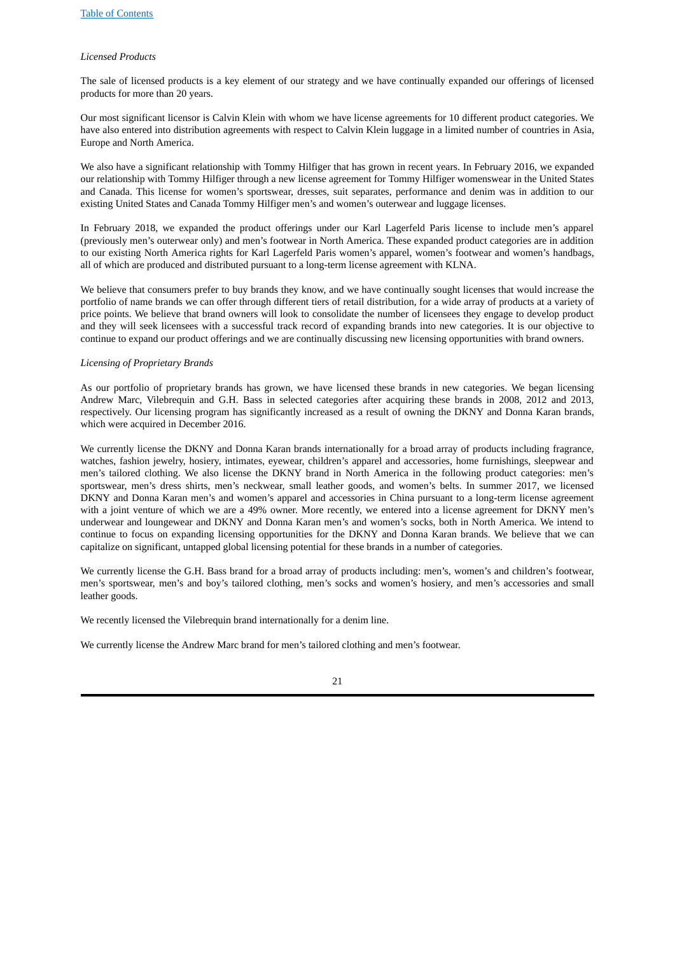#### *Licensed Products*

The sale of licensed products is a key element of our strategy and we have continually expanded our offerings of licensed products for more than 20 years.

Our most significant licensor is Calvin Klein with whom we have license agreements for 10 different product categories. We have also entered into distribution agreements with respect to Calvin Klein luggage in a limited number of countries in Asia, Europe and North America.

We also have a significant relationship with Tommy Hilfiger that has grown in recent years. In February 2016, we expanded our relationship with Tommy Hilfiger through a new license agreement for Tommy Hilfiger womenswear in the United States and Canada. This license for women's sportswear, dresses, suit separates, performance and denim was in addition to our existing United States and Canada Tommy Hilfiger men's and women's outerwear and luggage licenses.

In February 2018, we expanded the product offerings under our Karl Lagerfeld Paris license to include men's apparel (previously men's outerwear only) and men's footwear in North America. These expanded product categories are in addition to our existing North America rights for Karl Lagerfeld Paris women's apparel, women's footwear and women's handbags, all of which are produced and distributed pursuant to a long-term license agreement with KLNA.

We believe that consumers prefer to buy brands they know, and we have continually sought licenses that would increase the portfolio of name brands we can offer through different tiers of retail distribution, for a wide array of products at a variety of price points. We believe that brand owners will look to consolidate the number of licensees they engage to develop product and they will seek licensees with a successful track record of expanding brands into new categories. It is our objective to continue to expand our product offerings and we are continually discussing new licensing opportunities with brand owners.

#### *Licensing of Proprietary Brands*

As our portfolio of proprietary brands has grown, we have licensed these brands in new categories. We began licensing Andrew Marc, Vilebrequin and G.H. Bass in selected categories after acquiring these brands in 2008, 2012 and 2013, respectively. Our licensing program has significantly increased as a result of owning the DKNY and Donna Karan brands, which were acquired in December 2016.

We currently license the DKNY and Donna Karan brands internationally for a broad array of products including fragrance, watches, fashion jewelry, hosiery, intimates, eyewear, children's apparel and accessories, home furnishings, sleepwear and men's tailored clothing. We also license the DKNY brand in North America in the following product categories: men's sportswear, men's dress shirts, men's neckwear, small leather goods, and women's belts. In summer 2017, we licensed DKNY and Donna Karan men's and women's apparel and accessories in China pursuant to a long-term license agreement with a joint venture of which we are a 49% owner. More recently, we entered into a license agreement for DKNY men's underwear and loungewear and DKNY and Donna Karan men's and women's socks, both in North America. We intend to continue to focus on expanding licensing opportunities for the DKNY and Donna Karan brands. We believe that we can capitalize on significant, untapped global licensing potential for these brands in a number of categories.

We currently license the G.H. Bass brand for a broad array of products including: men's, women's and children's footwear, men's sportswear, men's and boy's tailored clothing, men's socks and women's hosiery, and men's accessories and small leather goods.

We recently licensed the Vilebrequin brand internationally for a denim line.

We currently license the Andrew Marc brand for men's tailored clothing and men's footwear.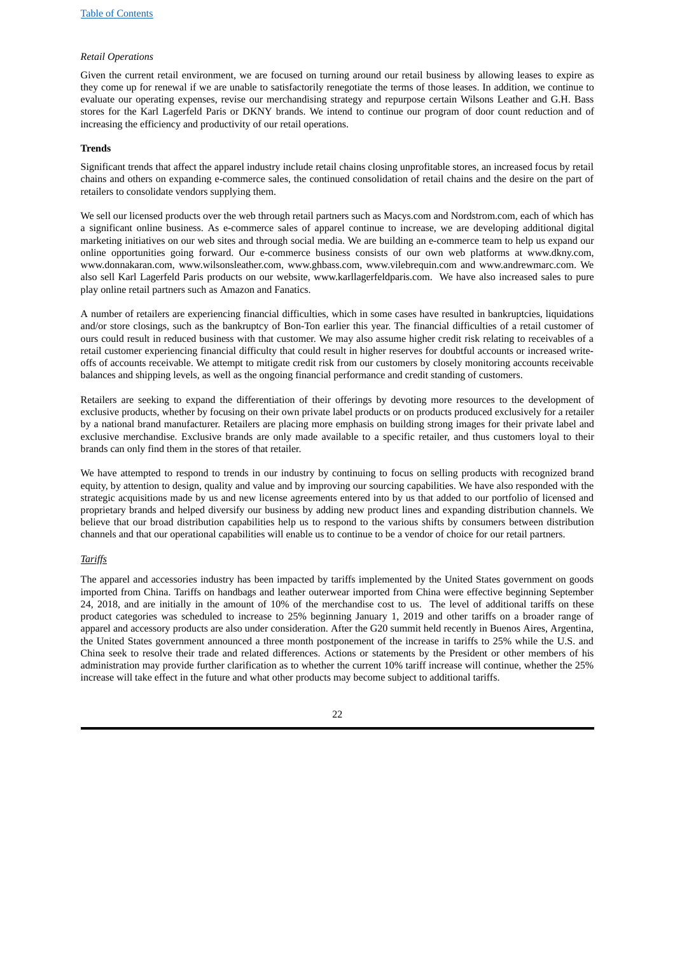# *Retail Operations*

Given the current retail environment, we are focused on turning around our retail business by allowing leases to expire as they come up for renewal if we are unable to satisfactorily renegotiate the terms of those leases. In addition, we continue to evaluate our operating expenses, revise our merchandising strategy and repurpose certain Wilsons Leather and G.H. Bass stores for the Karl Lagerfeld Paris or DKNY brands. We intend to continue our program of door count reduction and of increasing the efficiency and productivity of our retail operations.

#### **Trends**

Significant trends that affect the apparel industry include retail chains closing unprofitable stores, an increased focus by retail chains and others on expanding e-commerce sales, the continued consolidation of retail chains and the desire on the part of retailers to consolidate vendors supplying them.

We sell our licensed products over the web through retail partners such as Macys.com and Nordstrom.com, each of which has a significant online business. As e-commerce sales of apparel continue to increase, we are developing additional digital marketing initiatives on our web sites and through social media. We are building an e-commerce team to help us expand our online opportunities going forward. Our e-commerce business consists of our own web platforms at www.dkny.com, www.donnakaran.com, www.wilsonsleather.com, www.ghbass.com, www.vilebrequin.com and www.andrewmarc.com. We also sell Karl Lagerfeld Paris products on our website, www.karllagerfeldparis.com. We have also increased sales to pure play online retail partners such as Amazon and Fanatics.

A number of retailers are experiencing financial difficulties, which in some cases have resulted in bankruptcies, liquidations and/or store closings, such as the bankruptcy of Bon-Ton earlier this year. The financial difficulties of a retail customer of ours could result in reduced business with that customer. We may also assume higher credit risk relating to receivables of a retail customer experiencing financial difficulty that could result in higher reserves for doubtful accounts or increased writeoffs of accounts receivable. We attempt to mitigate credit risk from our customers by closely monitoring accounts receivable balances and shipping levels, as well as the ongoing financial performance and credit standing of customers.

Retailers are seeking to expand the differentiation of their offerings by devoting more resources to the development of exclusive products, whether by focusing on their own private label products or on products produced exclusively for a retailer by a national brand manufacturer. Retailers are placing more emphasis on building strong images for their private label and exclusive merchandise. Exclusive brands are only made available to a specific retailer, and thus customers loyal to their brands can only find them in the stores of that retailer.

We have attempted to respond to trends in our industry by continuing to focus on selling products with recognized brand equity, by attention to design, quality and value and by improving our sourcing capabilities. We have also responded with the strategic acquisitions made by us and new license agreements entered into by us that added to our portfolio of licensed and proprietary brands and helped diversify our business by adding new product lines and expanding distribution channels. We believe that our broad distribution capabilities help us to respond to the various shifts by consumers between distribution channels and that our operational capabilities will enable us to continue to be a vendor of choice for our retail partners.

#### *Tariffs*

The apparel and accessories industry has been impacted by tariffs implemented by the United States government on goods imported from China. Tariffs on handbags and leather outerwear imported from China were effective beginning September 24, 2018, and are initially in the amount of 10% of the merchandise cost to us. The level of additional tariffs on these product categories was scheduled to increase to 25% beginning January 1, 2019 and other tariffs on a broader range of apparel and accessory products are also under consideration. After the G20 summit held recently in Buenos Aires, Argentina, the United States government announced a three month postponement of the increase in tariffs to 25% while the U.S. and China seek to resolve their trade and related differences. Actions or statements by the President or other members of his administration may provide further clarification as to whether the current 10% tariff increase will continue, whether the 25% increase will take effect in the future and what other products may become subject to additional tariffs.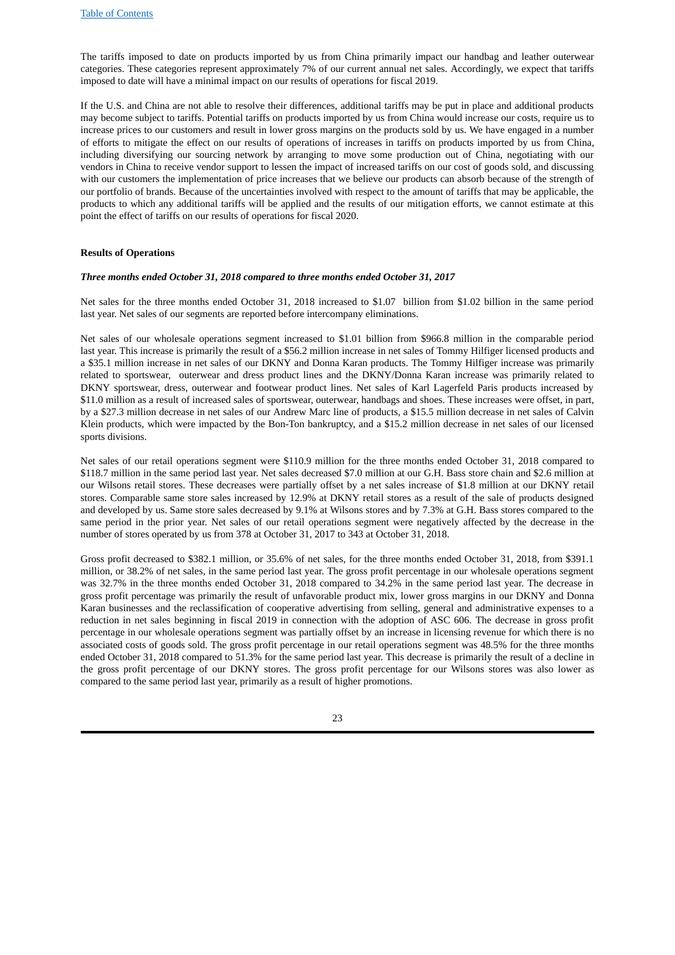The tariffs imposed to date on products imported by us from China primarily impact our handbag and leather outerwear categories. These categories represent approximately 7% of our current annual net sales. Accordingly, we expect that tariffs imposed to date will have a minimal impact on our results of operations for fiscal 2019.

If the U.S. and China are not able to resolve their differences, additional tariffs may be put in place and additional products may become subject to tariffs. Potential tariffs on products imported by us from China would increase our costs, require us to increase prices to our customers and result in lower gross margins on the products sold by us. We have engaged in a number of efforts to mitigate the effect on our results of operations of increases in tariffs on products imported by us from China, including diversifying our sourcing network by arranging to move some production out of China, negotiating with our vendors in China to receive vendor support to lessen the impact of increased tariffs on our cost of goods sold, and discussing with our customers the implementation of price increases that we believe our products can absorb because of the strength of our portfolio of brands. Because of the uncertainties involved with respect to the amount of tariffs that may be applicable, the products to which any additional tariffs will be applied and the results of our mitigation efforts, we cannot estimate at this point the effect of tariffs on our results of operations for fiscal 2020.

#### **Results of Operations**

#### *Three months ended October 31, 2018 compared to three months ended October 31, 2017*

Net sales for the three months ended October 31, 2018 increased to \$1.07 billion from \$1.02 billion in the same period last year. Net sales of our segments are reported before intercompany eliminations.

Net sales of our wholesale operations segment increased to \$1.01 billion from \$966.8 million in the comparable period last year. This increase is primarily the result of a \$56.2 million increase in net sales of Tommy Hilfiger licensed products and a \$35.1 million increase in net sales of our DKNY and Donna Karan products. The Tommy Hilfiger increase was primarily related to sportswear, outerwear and dress product lines and the DKNY/Donna Karan increase was primarily related to DKNY sportswear, dress, outerwear and footwear product lines. Net sales of Karl Lagerfeld Paris products increased by \$11.0 million as a result of increased sales of sportswear, outerwear, handbags and shoes. These increases were offset, in part, by a \$27.3 million decrease in net sales of our Andrew Marc line of products, a \$15.5 million decrease in net sales of Calvin Klein products, which were impacted by the Bon-Ton bankruptcy, and a \$15.2 million decrease in net sales of our licensed sports divisions.

Net sales of our retail operations segment were \$110.9 million for the three months ended October 31, 2018 compared to \$118.7 million in the same period last year. Net sales decreased \$7.0 million at our G.H. Bass store chain and \$2.6 million at our Wilsons retail stores. These decreases were partially offset by a net sales increase of \$1.8 million at our DKNY retail stores. Comparable same store sales increased by 12.9% at DKNY retail stores as a result of the sale of products designed and developed by us. Same store sales decreased by 9.1% at Wilsons stores and by 7.3% at G.H. Bass stores compared to the same period in the prior year. Net sales of our retail operations segment were negatively affected by the decrease in the number of stores operated by us from 378 at October 31, 2017 to 343 at October 31, 2018.

Gross profit decreased to \$382.1 million, or 35.6% of net sales, for the three months ended October 31, 2018, from \$391.1 million, or 38.2% of net sales, in the same period last year. The gross profit percentage in our wholesale operations segment was 32.7% in the three months ended October 31, 2018 compared to 34.2% in the same period last year. The decrease in gross profit percentage was primarily the result of unfavorable product mix, lower gross margins in our DKNY and Donna Karan businesses and the reclassification of cooperative advertising from selling, general and administrative expenses to a reduction in net sales beginning in fiscal 2019 in connection with the adoption of ASC 606. The decrease in gross profit percentage in our wholesale operations segment was partially offset by an increase in licensing revenue for which there is no associated costs of goods sold. The gross profit percentage in our retail operations segment was 48.5% for the three months ended October 31, 2018 compared to 51.3% for the same period last year. This decrease is primarily the result of a decline in the gross profit percentage of our DKNY stores. The gross profit percentage for our Wilsons stores was also lower as compared to the same period last year, primarily as a result of higher promotions.

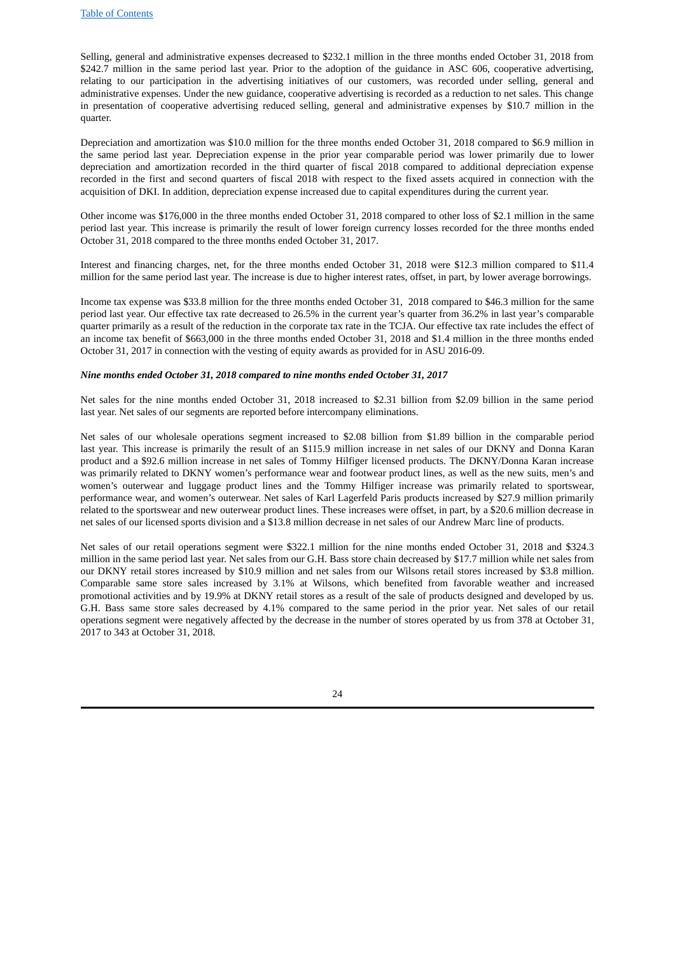Selling, general and administrative expenses decreased to \$232.1 million in the three months ended October 31, 2018 from \$242.7 million in the same period last year. Prior to the adoption of the guidance in ASC 606, cooperative advertising, relating to our participation in the advertising initiatives of our customers, was recorded under selling, general and administrative expenses. Under the new guidance, cooperative advertising is recorded as a reduction to net sales. This change in presentation of cooperative advertising reduced selling, general and administrative expenses by \$10.7 million in the quarter.

Depreciation and amortization was \$10.0 million for the three months ended October 31, 2018 compared to \$6.9 million in the same period last year. Depreciation expense in the prior year comparable period was lower primarily due to lower depreciation and amortization recorded in the third quarter of fiscal 2018 compared to additional depreciation expense recorded in the first and second quarters of fiscal 2018 with respect to the fixed assets acquired in connection with the acquisition of DKI. In addition, depreciation expense increased due to capital expenditures during the current year.

Other income was \$176,000 in the three months ended October 31, 2018 compared to other loss of \$2.1 million in the same period last year. This increase is primarily the result of lower foreign currency losses recorded for the three months ended October 31, 2018 compared to the three months ended October 31, 2017.

Interest and financing charges, net, for the three months ended October 31, 2018 were \$12.3 million compared to \$11.4 million for the same period last year. The increase is due to higher interest rates, offset, in part, by lower average borrowings.

Income tax expense was \$33.8 million for the three months ended October 31, 2018 compared to \$46.3 million for the same period last year. Our effective tax rate decreased to 26.5% in the current year's quarter from 36.2% in last year's comparable quarter primarily as a result of the reduction in the corporate tax rate in the TCJA. Our effective tax rate includes the effect of an income tax benefit of \$663,000 in the three months ended October 31, 2018 and \$1.4 million in the three months ended October 31, 2017 in connection with the vesting of equity awards as provided for in ASU 2016‑09.

#### *Nine months ended October 31, 2018 compared to nine months ended October 31, 2017*

Net sales for the nine months ended October 31, 2018 increased to \$2.31 billion from \$2.09 billion in the same period last year. Net sales of our segments are reported before intercompany eliminations.

Net sales of our wholesale operations segment increased to \$2.08 billion from \$1.89 billion in the comparable period last year. This increase is primarily the result of an \$115.9 million increase in net sales of our DKNY and Donna Karan product and a \$92.6 million increase in net sales of Tommy Hilfiger licensed products. The DKNY/Donna Karan increase was primarily related to DKNY women's performance wear and footwear product lines, as well as the new suits, men's and women's outerwear and luggage product lines and the Tommy Hilfiger increase was primarily related to sportswear, performance wear, and women's outerwear. Net sales of Karl Lagerfeld Paris products increased by \$27.9 million primarily related to the sportswear and new outerwear product lines. These increases were offset, in part, by a \$20.6 million decrease in net sales of our licensed sports division and a \$13.8 million decrease in net sales of our Andrew Marc line of products.

Net sales of our retail operations segment were \$322.1 million for the nine months ended October 31, 2018 and \$324.3 million in the same period last year. Net sales from our G.H. Bass store chain decreased by \$17.7 million while net sales from our DKNY retail stores increased by \$10.9 million and net sales from our Wilsons retail stores increased by \$3.8 million. Comparable same store sales increased by 3.1% at Wilsons, which benefited from favorable weather and increased promotional activities and by 19.9% at DKNY retail stores as a result of the sale of products designed and developed by us. G.H. Bass same store sales decreased by 4.1% compared to the same period in the prior year. Net sales of our retail operations segment were negatively affected by the decrease in the number of stores operated by us from 378 at October 31, 2017 to 343 at October 31, 2018.

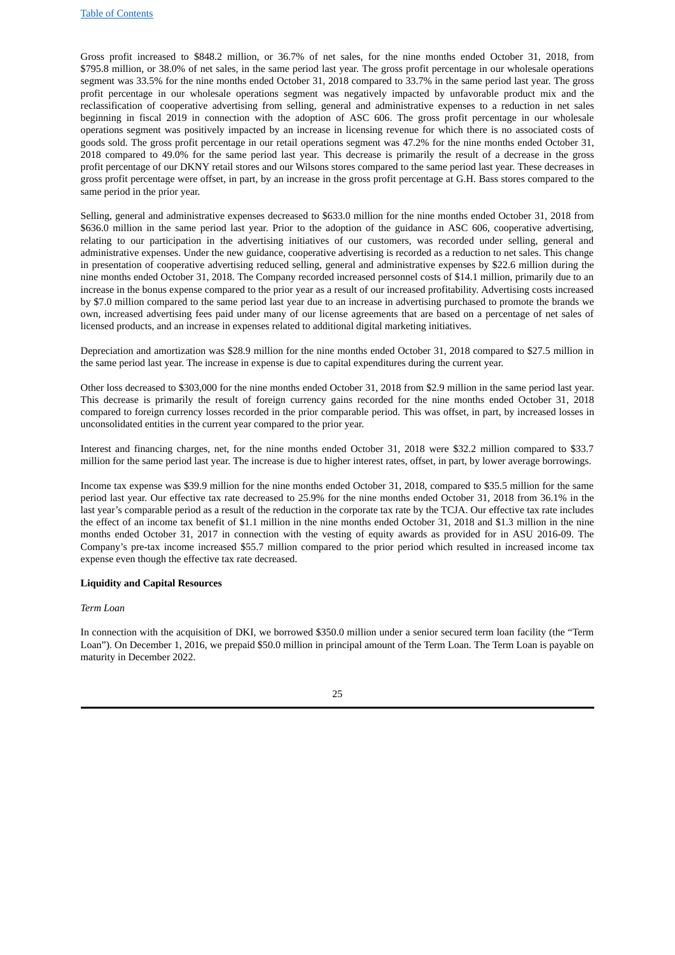Gross profit increased to \$848.2 million, or 36.7% of net sales, for the nine months ended October 31, 2018, from \$795.8 million, or 38.0% of net sales, in the same period last year. The gross profit percentage in our wholesale operations segment was 33.5% for the nine months ended October 31, 2018 compared to 33.7% in the same period last year. The gross profit percentage in our wholesale operations segment was negatively impacted by unfavorable product mix and the reclassification of cooperative advertising from selling, general and administrative expenses to a reduction in net sales beginning in fiscal 2019 in connection with the adoption of ASC 606. The gross profit percentage in our wholesale operations segment was positively impacted by an increase in licensing revenue for which there is no associated costs of goods sold. The gross profit percentage in our retail operations segment was 47.2% for the nine months ended October 31, 2018 compared to 49.0% for the same period last year. This decrease is primarily the result of a decrease in the gross profit percentage of our DKNY retail stores and our Wilsons stores compared to the same period last year. These decreases in gross profit percentage were offset, in part, by an increase in the gross profit percentage at G.H. Bass stores compared to the same period in the prior year.

Selling, general and administrative expenses decreased to \$633.0 million for the nine months ended October 31, 2018 from \$636.0 million in the same period last year. Prior to the adoption of the guidance in ASC 606, cooperative advertising, relating to our participation in the advertising initiatives of our customers, was recorded under selling, general and administrative expenses. Under the new guidance, cooperative advertising is recorded as a reduction to net sales. This change in presentation of cooperative advertising reduced selling, general and administrative expenses by \$22.6 million during the nine months ended October 31, 2018. The Company recorded increased personnel costs of \$14.1 million, primarily due to an increase in the bonus expense compared to the prior year as a result of our increased profitability. Advertising costs increased by \$7.0 million compared to the same period last year due to an increase in advertising purchased to promote the brands we own, increased advertising fees paid under many of our license agreements that are based on a percentage of net sales of licensed products, and an increase in expenses related to additional digital marketing initiatives.

Depreciation and amortization was \$28.9 million for the nine months ended October 31, 2018 compared to \$27.5 million in the same period last year. The increase in expense is due to capital expenditures during the current year.

Other loss decreased to \$303,000 for the nine months ended October 31, 2018 from \$2.9 million in the same period last year. This decrease is primarily the result of foreign currency gains recorded for the nine months ended October 31, 2018 compared to foreign currency losses recorded in the prior comparable period. This was offset, in part, by increased losses in unconsolidated entities in the current year compared to the prior year.

Interest and financing charges, net, for the nine months ended October 31, 2018 were \$32.2 million compared to \$33.7 million for the same period last year. The increase is due to higher interest rates, offset, in part, by lower average borrowings.

Income tax expense was \$39.9 million for the nine months ended October 31, 2018, compared to \$35.5 million for the same period last year. Our effective tax rate decreased to 25.9% for the nine months ended October 31, 2018 from 36.1% in the last year's comparable period as a result of the reduction in the corporate tax rate by the TCJA. Our effective tax rate includes the effect of an income tax benefit of \$1.1 million in the nine months ended October 31, 2018 and \$1.3 million in the nine months ended October 31, 2017 in connection with the vesting of equity awards as provided for in ASU 2016‑09. The Company's pre-tax income increased \$55.7 million compared to the prior period which resulted in increased income tax expense even though the effective tax rate decreased.

#### **Liquidity and Capital Resources**

#### *Term Loan*

In connection with the acquisition of DKI, we borrowed \$350.0 million under a senior secured term loan facility (the "Term Loan"). On December 1, 2016, we prepaid \$50.0 million in principal amount of the Term Loan. The Term Loan is payable on maturity in December 2022.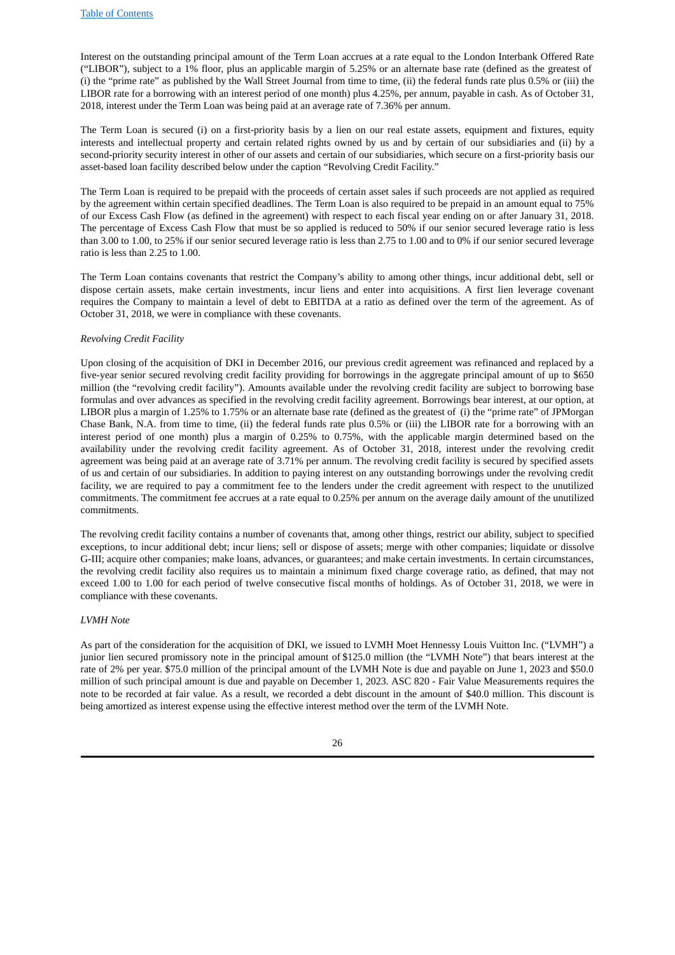Interest on the outstanding principal amount of the Term Loan accrues at a rate equal to the London Interbank Offered Rate ("LIBOR"), subject to a 1% floor, plus an applicable margin of 5.25% or an alternate base rate (defined as the greatest of (i) the "prime rate" as published by the Wall Street Journal from time to time, (ii) the federal funds rate plus 0.5% or (iii) the LIBOR rate for a borrowing with an interest period of one month) plus 4.25%, per annum, payable in cash. As of October 31, 2018, interest under the Term Loan was being paid at an average rate of 7.36% per annum.

The Term Loan is secured (i) on a first-priority basis by a lien on our real estate assets, equipment and fixtures, equity interests and intellectual property and certain related rights owned by us and by certain of our subsidiaries and (ii) by a second-priority security interest in other of our assets and certain of our subsidiaries, which secure on a first-priority basis our asset-based loan facility described below under the caption "Revolving Credit Facility."

The Term Loan is required to be prepaid with the proceeds of certain asset sales if such proceeds are not applied as required by the agreement within certain specified deadlines. The Term Loan is also required to be prepaid in an amount equal to 75% of our Excess Cash Flow (as defined in the agreement) with respect to each fiscal year ending on or after January 31, 2018. The percentage of Excess Cash Flow that must be so applied is reduced to 50% if our senior secured leverage ratio is less than 3.00 to 1.00, to 25% if our senior secured leverage ratio is less than 2.75 to 1.00 and to 0% if our senior secured leverage ratio is less than 2.25 to 1.00.

The Term Loan contains covenants that restrict the Company's ability to among other things, incur additional debt, sell or dispose certain assets, make certain investments, incur liens and enter into acquisitions. A first lien leverage covenant requires the Company to maintain a level of debt to EBITDA at a ratio as defined over the term of the agreement. As of October 31, 2018, we were in compliance with these covenants.

#### *Revolving Credit Facility*

Upon closing of the acquisition of DKI in December 2016, our previous credit agreement was refinanced and replaced by a five-year senior secured revolving credit facility providing for borrowings in the aggregate principal amount of up to \$650 million (the "revolving credit facility"). Amounts available under the revolving credit facility are subject to borrowing base formulas and over advances as specified in the revolving credit facility agreement. Borrowings bear interest, at our option, at LIBOR plus a margin of 1.25% to 1.75% or an alternate base rate (defined as the greatest of (i) the "prime rate" of JPMorgan Chase Bank, N.A. from time to time, (ii) the federal funds rate plus 0.5% or (iii) the LIBOR rate for a borrowing with an interest period of one month) plus a margin of 0.25% to 0.75%, with the applicable margin determined based on the availability under the revolving credit facility agreement. As of October 31, 2018, interest under the revolving credit agreement was being paid at an average rate of 3.71% per annum. The revolving credit facility is secured by specified assets of us and certain of our subsidiaries. In addition to paying interest on any outstanding borrowings under the revolving credit facility, we are required to pay a commitment fee to the lenders under the credit agreement with respect to the unutilized commitments. The commitment fee accrues at a rate equal to 0.25% per annum on the average daily amount of the unutilized commitments.

The revolving credit facility contains a number of covenants that, among other things, restrict our ability, subject to specified exceptions, to incur additional debt; incur liens; sell or dispose of assets; merge with other companies; liquidate or dissolve G-III; acquire other companies; make loans, advances, or guarantees; and make certain investments. In certain circumstances, the revolving credit facility also requires us to maintain a minimum fixed charge coverage ratio, as defined, that may not exceed 1.00 to 1.00 for each period of twelve consecutive fiscal months of holdings. As of October 31, 2018, we were in compliance with these covenants.

# *LVMH Note*

As part of the consideration for the acquisition of DKI, we issued to LVMH Moet Hennessy Louis Vuitton Inc. ("LVMH") a junior lien secured promissory note in the principal amount of \$125.0 million (the "LVMH Note") that bears interest at the rate of 2% per year. \$75.0 million of the principal amount of the LVMH Note is due and payable on June 1, 2023 and \$50.0 million of such principal amount is due and payable on December 1, 2023. ASC 820 - Fair Value Measurements requires the note to be recorded at fair value. As a result, we recorded a debt discount in the amount of \$40.0 million. This discount is being amortized as interest expense using the effective interest method over the term of the LVMH Note.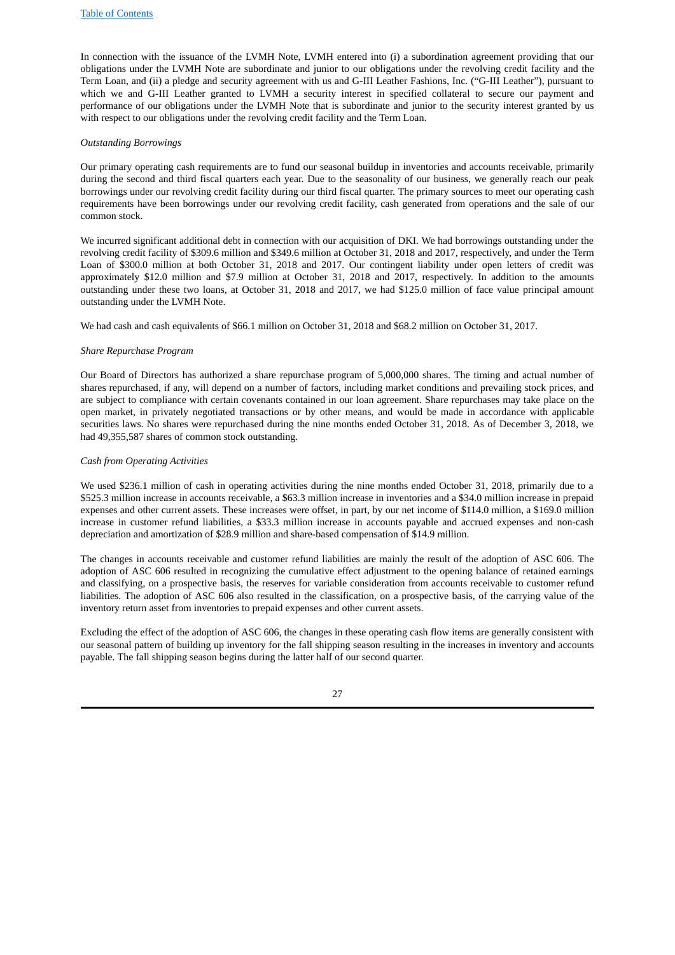In connection with the issuance of the LVMH Note, LVMH entered into (i) a subordination agreement providing that our obligations under the LVMH Note are subordinate and junior to our obligations under the revolving credit facility and the Term Loan, and (ii) a pledge and security agreement with us and G-III Leather Fashions, Inc. ("G-III Leather"), pursuant to which we and G-III Leather granted to LVMH a security interest in specified collateral to secure our payment and performance of our obligations under the LVMH Note that is subordinate and junior to the security interest granted by us with respect to our obligations under the revolving credit facility and the Term Loan.

#### *Outstanding Borrowings*

Our primary operating cash requirements are to fund our seasonal buildup in inventories and accounts receivable, primarily during the second and third fiscal quarters each year. Due to the seasonality of our business, we generally reach our peak borrowings under our revolving credit facility during our third fiscal quarter. The primary sources to meet our operating cash requirements have been borrowings under our revolving credit facility, cash generated from operations and the sale of our common stock.

We incurred significant additional debt in connection with our acquisition of DKI. We had borrowings outstanding under the revolving credit facility of \$309.6 million and \$349.6 million at October 31, 2018 and 2017, respectively, and under the Term Loan of \$300.0 million at both October 31, 2018 and 2017. Our contingent liability under open letters of credit was approximately \$12.0 million and \$7.9 million at October 31, 2018 and 2017, respectively. In addition to the amounts outstanding under these two loans, at October 31, 2018 and 2017, we had \$125.0 million of face value principal amount outstanding under the LVMH Note.

We had cash and cash equivalents of \$66.1 million on October 31, 2018 and \$68.2 million on October 31, 2017.

#### *Share Repurchase Program*

Our Board of Directors has authorized a share repurchase program of 5,000,000 shares. The timing and actual number of shares repurchased, if any, will depend on a number of factors, including market conditions and prevailing stock prices, and are subject to compliance with certain covenants contained in our loan agreement. Share repurchases may take place on the open market, in privately negotiated transactions or by other means, and would be made in accordance with applicable securities laws. No shares were repurchased during the nine months ended October 31, 2018. As of December 3, 2018, we had 49,355,587 shares of common stock outstanding.

#### *Cash from Operating Activities*

We used \$236.1 million of cash in operating activities during the nine months ended October 31, 2018, primarily due to a \$525.3 million increase in accounts receivable, a \$63.3 million increase in inventories and a \$34.0 million increase in prepaid expenses and other current assets. These increases were offset, in part, by our net income of \$114.0 million, a \$169.0 million increase in customer refund liabilities, a \$33.3 million increase in accounts payable and accrued expenses and non-cash depreciation and amortization of \$28.9 million and share-based compensation of \$14.9 million.

The changes in accounts receivable and customer refund liabilities are mainly the result of the adoption of ASC 606. The adoption of ASC 606 resulted in recognizing the cumulative effect adjustment to the opening balance of retained earnings and classifying, on a prospective basis, the reserves for variable consideration from accounts receivable to customer refund liabilities. The adoption of ASC 606 also resulted in the classification, on a prospective basis, of the carrying value of the inventory return asset from inventories to prepaid expenses and other current assets.

Excluding the effect of the adoption of ASC 606, the changes in these operating cash flow items are generally consistent with our seasonal pattern of building up inventory for the fall shipping season resulting in the increases in inventory and accounts payable. The fall shipping season begins during the latter half of our second quarter.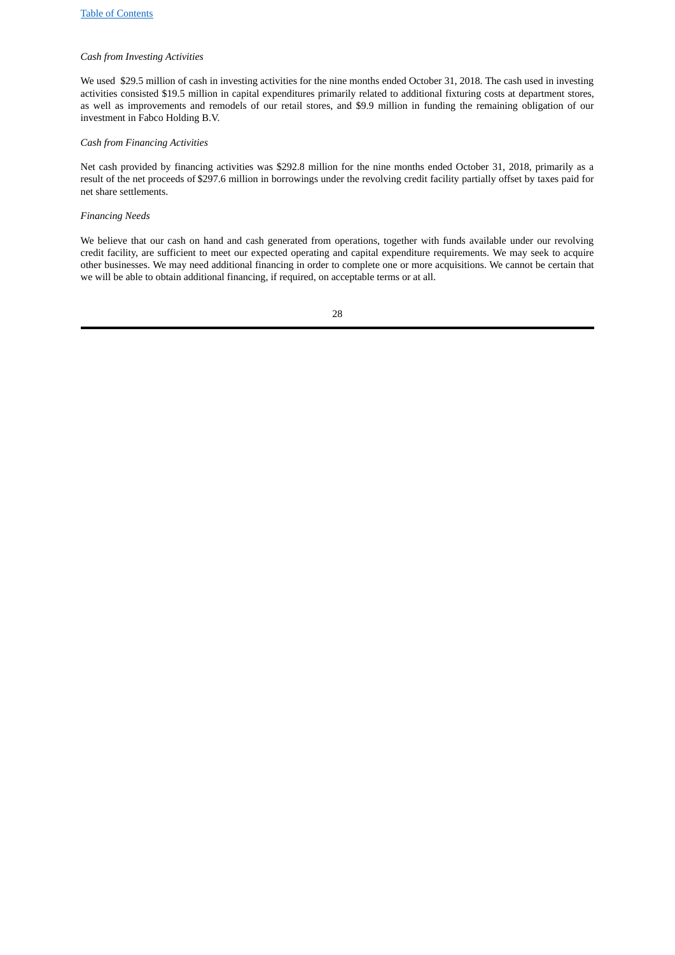# *Cash from Investing Activities*

We used \$29.5 million of cash in investing activities for the nine months ended October 31, 2018. The cash used in investing activities consisted \$19.5 million in capital expenditures primarily related to additional fixturing costs at department stores, as well as improvements and remodels of our retail stores, and \$9.9 million in funding the remaining obligation of our investment in Fabco Holding B.V.

# *Cash from Financing Activities*

Net cash provided by financing activities was \$292.8 million for the nine months ended October 31, 2018, primarily as a result of the net proceeds of \$297.6 million in borrowings under the revolving credit facility partially offset by taxes paid for net share settlements.

### *Financing Needs*

We believe that our cash on hand and cash generated from operations, together with funds available under our revolving credit facility, are sufficient to meet our expected operating and capital expenditure requirements. We may seek to acquire other businesses. We may need additional financing in order to complete one or more acquisitions. We cannot be certain that we will be able to obtain additional financing, if required, on acceptable terms or at all.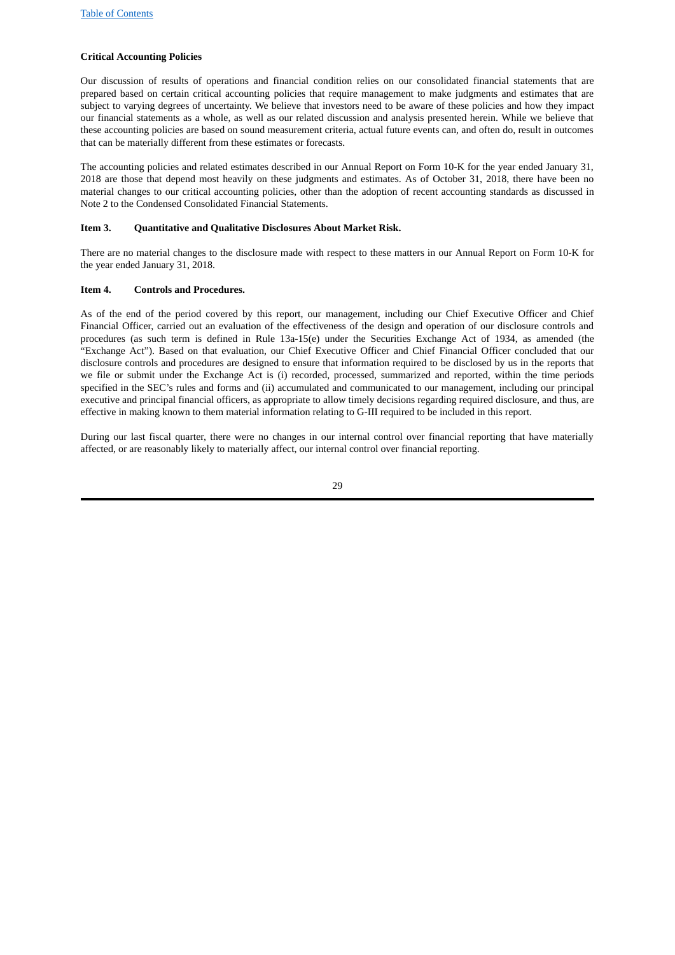# **Critical Accounting Policies**

Our discussion of results of operations and financial condition relies on our consolidated financial statements that are prepared based on certain critical accounting policies that require management to make judgments and estimates that are subject to varying degrees of uncertainty. We believe that investors need to be aware of these policies and how they impact our financial statements as a whole, as well as our related discussion and analysis presented herein. While we believe that these accounting policies are based on sound measurement criteria, actual future events can, and often do, result in outcomes that can be materially different from these estimates or forecasts.

The accounting policies and related estimates described in our Annual Report on Form 10‑K for the year ended January 31, 2018 are those that depend most heavily on these judgments and estimates. As of October 31, 2018, there have been no material changes to our critical accounting policies, other than the adoption of recent accounting standards as discussed in Note 2 to the Condensed Consolidated Financial Statements.

# <span id="page-28-0"></span>**Item 3. Quantitative and Qualitative Disclosures About Market Risk.**

There are no material changes to the disclosure made with respect to these matters in our Annual Report on Form 10‑K for the year ended January 31, 2018.

#### <span id="page-28-1"></span>**Item 4. Controls and Procedures.**

As of the end of the period covered by this report, our management, including our Chief Executive Officer and Chief Financial Officer, carried out an evaluation of the effectiveness of the design and operation of our disclosure controls and procedures (as such term is defined in Rule 13a-15(e) under the Securities Exchange Act of 1934, as amended (the "Exchange Act"). Based on that evaluation, our Chief Executive Officer and Chief Financial Officer concluded that our disclosure controls and procedures are designed to ensure that information required to be disclosed by us in the reports that we file or submit under the Exchange Act is (i) recorded, processed, summarized and reported, within the time periods specified in the SEC's rules and forms and (ii) accumulated and communicated to our management, including our principal executive and principal financial officers, as appropriate to allow timely decisions regarding required disclosure, and thus, are effective in making known to them material information relating to G-III required to be included in this report.

During our last fiscal quarter, there were no changes in our internal control over financial reporting that have materially affected, or are reasonably likely to materially affect, our internal control over financial reporting.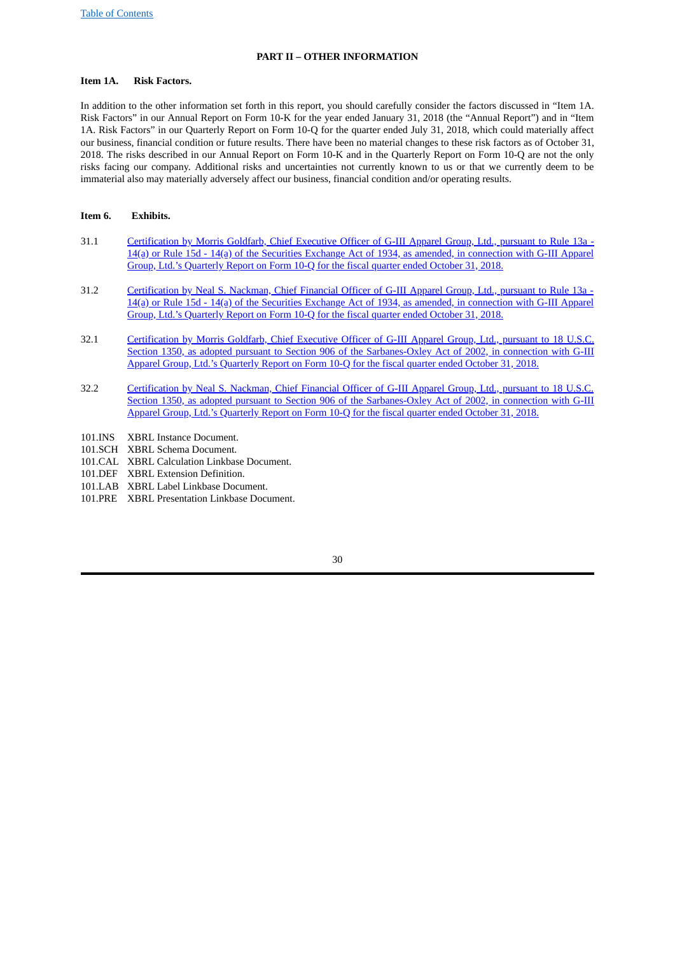# <span id="page-29-1"></span><span id="page-29-0"></span>**PART II – OTHER INFORMATION**

# **Item 1A. Risk Factors.**

In addition to the other information set forth in this report, you should carefully consider the factors discussed in "Item 1A. Risk Factors" in our Annual Report on Form 10-K for the year ended January 31, 2018 (the "Annual Report") and in "Item 1A. Risk Factors" in our Quarterly Report on Form 10-Q for the quarter ended July 31, 2018, which could materially affect our business, financial condition or future results. There have been no material changes to these risk factors as of October 31, 2018. The risks described in our Annual Report on Form 10‑K and in the Quarterly Report on Form 10‑Q are not the only risks facing our company. Additional risks and uncertainties not currently known to us or that we currently deem to be immaterial also may materially adversely affect our business, financial condition and/or operating results.

### <span id="page-29-2"></span>**Item 6. Exhibits.**

- 31.1 Certification by Morris Goldfarb, Chief Executive Officer of G-III Apparel Group, Ltd., pursuant to Rule 13a -14(a) or Rule 15d - 14(a) of the Securities Exchange Act of 1934, as amended, in connection with G-III Apparel Group, Ltd.'s Quarterly Report on Form 10‑Q for the fiscal quarter ended October 31, 2018.
- 31.2 Certification by Neal S. Nackman, Chief Financial Officer of G-III Apparel Group, Ltd., pursuant to Rule 13a 14(a) or Rule 15d - 14(a) of the Securities Exchange Act of 1934, as amended, in connection with G-III Apparel Group, Ltd.'s Quarterly Report on Form 10‑Q for the fiscal quarter ended October 31, 2018.
- 32.1 Certification by Morris Goldfarb, Chief Executive Officer of G-III Apparel Group, Ltd., pursuant to 18 U.S.C. Section 1350, as adopted pursuant to Section 906 of the Sarbanes-Oxley Act of 2002, in connection with G-III Apparel Group, Ltd.'s Quarterly Report on Form 10‑Q for the fiscal quarter ended October 31, 2018.
- 32.2 Certification by Neal S. Nackman, Chief Financial Officer of G-III Apparel Group, Ltd., pursuant to 18 U.S.C. Section 1350, as adopted pursuant to Section 906 of the Sarbanes-Oxley Act of 2002, in connection with G-III Apparel Group, Ltd.'s Quarterly Report on Form 10‑Q for the fiscal quarter ended October 31, 2018.
- 101.INS XBRL Instance Document.
- 101.SCH XBRL Schema Document.
- 101.CAL XBRL Calculation Linkbase Document.
- 101.DEF XBRL Extension Definition.
- 101.LAB XBRL Label Linkbase Document.
- 101.PRE XBRL Presentation Linkbase Document.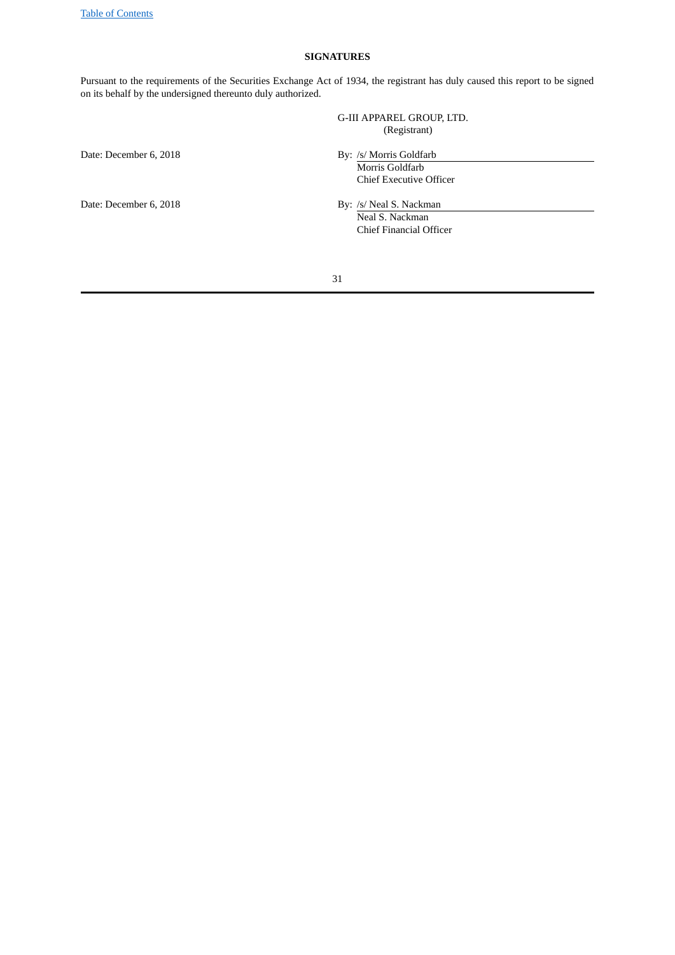# **SIGNATURES**

Pursuant to the requirements of the Securities Exchange Act of 1934, the registrant has duly caused this report to be signed on its behalf by the undersigned thereunto duly authorized.

| G-III APPAREL GROUP, LTD.<br>(Registrant) |
|-------------------------------------------|
| By: /s/ Morris Goldfarb                   |
| Morris Goldfarb                           |
| Chief Executive Officer                   |
| By: /s/ Neal S. Nackman<br>-- - - -- -    |

Neal S. Nackman Chief Financial Officer

31

Date: December 6, 2018

Date: December 6, 2018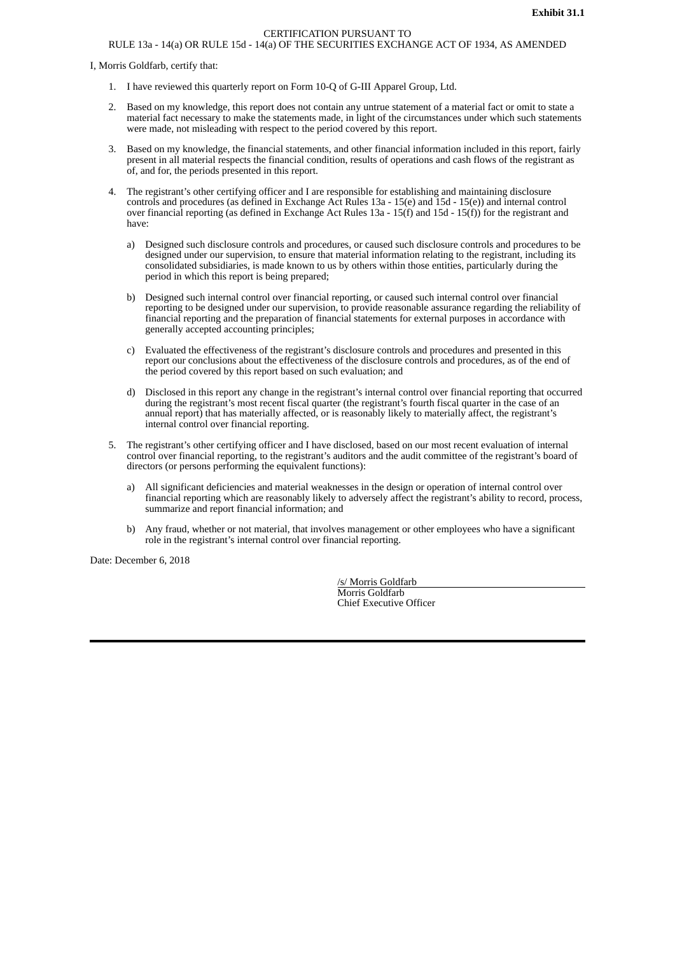# CERTIFICATION PURSUANT TO

# RULE 13a - 14(a) OR RULE 15d - 14(a) OF THE SECURITIES EXCHANGE ACT OF 1934, AS AMENDED

I, Morris Goldfarb, certify that:

- 1. I have reviewed this quarterly report on Form 10-Q of G-III Apparel Group, Ltd.
- 2. Based on my knowledge, this report does not contain any untrue statement of a material fact or omit to state a material fact necessary to make the statements made, in light of the circumstances under which such statements were made, not misleading with respect to the period covered by this report.
- 3. Based on my knowledge, the financial statements, and other financial information included in this report, fairly present in all material respects the financial condition, results of operations and cash flows of the registrant as of, and for, the periods presented in this report.
- 4. The registrant's other certifying officer and I are responsible for establishing and maintaining disclosure controls and procedures (as defined in Exchange Act Rules 13a - 15(e) and 15d - 15(e)) and internal control over financial reporting (as defined in Exchange Act Rules 13a - 15(f) and 15d - 15(f)) for the registrant and have:
	- a) Designed such disclosure controls and procedures, or caused such disclosure controls and procedures to be designed under our supervision, to ensure that material information relating to the registrant, including its consolidated subsidiaries, is made known to us by others within those entities, particularly during the period in which this report is being prepared;
	- b) Designed such internal control over financial reporting, or caused such internal control over financial reporting to be designed under our supervision, to provide reasonable assurance regarding the reliability of financial reporting and the preparation of financial statements for external purposes in accordance with generally accepted accounting principles;
	- c) Evaluated the effectiveness of the registrant's disclosure controls and procedures and presented in this report our conclusions about the effectiveness of the disclosure controls and procedures, as of the end of the period covered by this report based on such evaluation; and
	- d) Disclosed in this report any change in the registrant's internal control over financial reporting that occurred during the registrant's most recent fiscal quarter (the registrant's fourth fiscal quarter in the case of an annual report) that has materially affected, or is reasonably likely to materially affect, the registrant's internal control over financial reporting.
- 5. The registrant's other certifying officer and I have disclosed, based on our most recent evaluation of internal control over financial reporting, to the registrant's auditors and the audit committee of the registrant's board of directors (or persons performing the equivalent functions):
	- a) All significant deficiencies and material weaknesses in the design or operation of internal control over financial reporting which are reasonably likely to adversely affect the registrant's ability to record, process, summarize and report financial information; and
	- b) Any fraud, whether or not material, that involves management or other employees who have a significant role in the registrant's internal control over financial reporting.

Date: December 6, 2018

/s/ Morris Goldfarb Morris Goldfarb Chief Executive Officer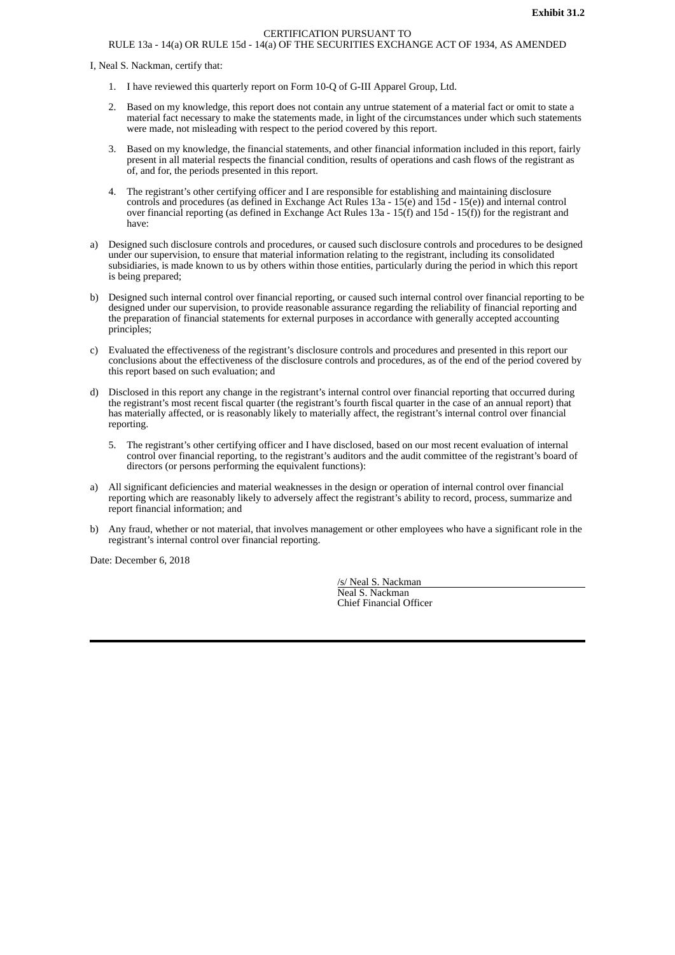# CERTIFICATION PURSUANT TO

# RULE 13a - 14(a) OR RULE 15d - 14(a) OF THE SECURITIES EXCHANGE ACT OF 1934, AS AMENDED

I, Neal S. Nackman, certify that:

- 1. I have reviewed this quarterly report on Form 10-Q of G-III Apparel Group, Ltd.
- 2. Based on my knowledge, this report does not contain any untrue statement of a material fact or omit to state a material fact necessary to make the statements made, in light of the circumstances under which such statements were made, not misleading with respect to the period covered by this report.
- 3. Based on my knowledge, the financial statements, and other financial information included in this report, fairly present in all material respects the financial condition, results of operations and cash flows of the registrant as of, and for, the periods presented in this report.
- 4. The registrant's other certifying officer and I are responsible for establishing and maintaining disclosure controls and procedures (as defined in Exchange Act Rules 13a - 15(e) and 15d - 15(e)) and internal control over financial reporting (as defined in Exchange Act Rules 13a - 15(f) and 15d - 15(f)) for the registrant and have:
- a) Designed such disclosure controls and procedures, or caused such disclosure controls and procedures to be designed under our supervision, to ensure that material information relating to the registrant, including its consolidated subsidiaries, is made known to us by others within those entities, particularly during the period in which this report is being prepared;
- b) Designed such internal control over financial reporting, or caused such internal control over financial reporting to be designed under our supervision, to provide reasonable assurance regarding the reliability of financial reporting and the preparation of financial statements for external purposes in accordance with generally accepted accounting principles;
- c) Evaluated the effectiveness of the registrant's disclosure controls and procedures and presented in this report our conclusions about the effectiveness of the disclosure controls and procedures, as of the end of the period covered by this report based on such evaluation; and
- d) Disclosed in this report any change in the registrant's internal control over financial reporting that occurred during the registrant's most recent fiscal quarter (the registrant's fourth fiscal quarter in the case of an annual report) that has materially affected, or is reasonably likely to materially affect, the registrant's internal control over financial reporting.
	- 5. The registrant's other certifying officer and I have disclosed, based on our most recent evaluation of internal control over financial reporting, to the registrant's auditors and the audit committee of the registrant's board of directors (or persons performing the equivalent functions):
- a) All significant deficiencies and material weaknesses in the design or operation of internal control over financial reporting which are reasonably likely to adversely affect the registrant's ability to record, process, summarize and report financial information; and
- b) Any fraud, whether or not material, that involves management or other employees who have a significant role in the registrant's internal control over financial reporting.

Date: December 6, 2018

/s/ Neal S. Nackman Neal S. Nackman Chief Financial Officer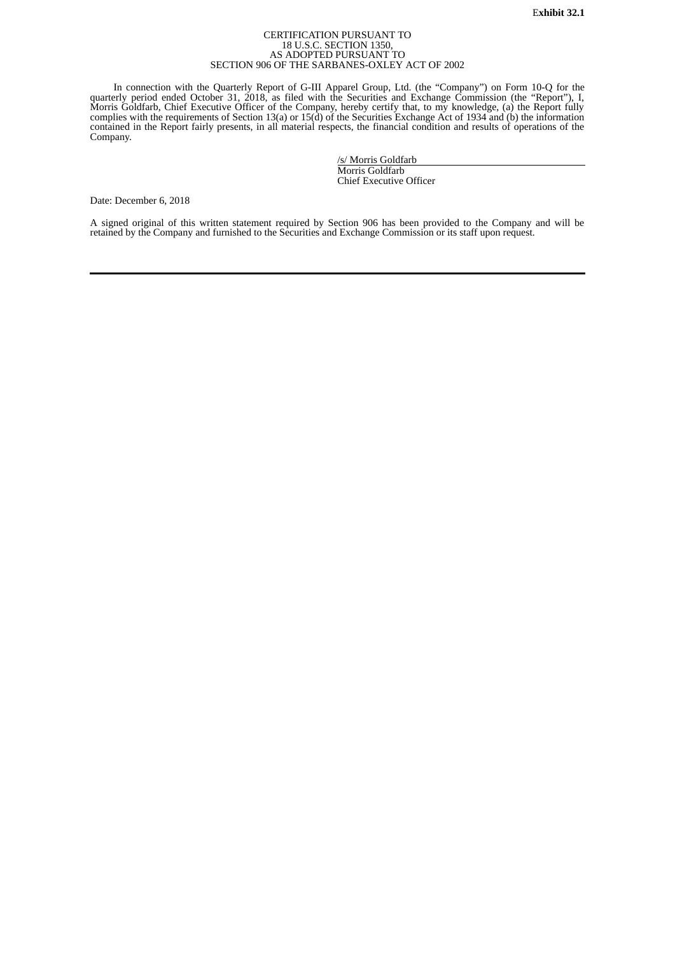#### CERTIFICATION PURSUANT TO 18 U.S.C. SECTION 1350, AS ADOPTED PURSUANT TO SECTION 906 OF THE SARBANES-OXLEY ACT OF 2002

In connection with the Quarterly Report of G-III Apparel Group, Ltd. (the "Company") on Form 10-Q for the quarterly period ended October 31, 2018, as filed with the Securities and Exchange Commission (the "Report"), I,<br>Morris Goldfarb, Chief Executive Officer of the Company, hereby certify that, to my knowledge, (a) the Report complies with the requirements of Section 13(a) or 15(d) of the Securities Exchange Act of 1934 and (b) the information contained in the Report fairly presents, in all material respects, the financial condition and results of operations of the Company.

> /s/ Morris Goldfarb Morris Goldfarb Chief Executive Officer

Date: December 6, 2018

A signed original of this written statement required by Section 906 has been provided to the Company and will be retained by the Company and furnished to the Securities and Exchange Commission or its staff upon request.